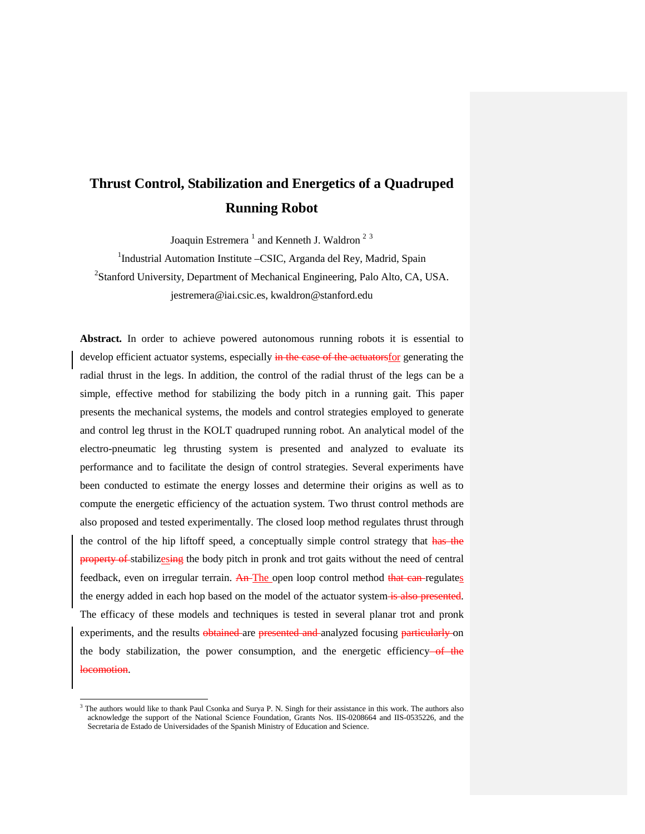# **Thrust Control, Stabilization and Energetics of a Quadruped Running Robot**

Joaquin Estremera<sup>1</sup> and Kenneth J. Waldron<sup>2[3](#page-0-0)</sup>

<sup>1</sup>Industrial Automation Institute -CSIC, Arganda del Rey, Madrid, Spain <sup>2</sup>Stanford University, Department of Mechanical Engineering, Palo Alto, CA, USA. jestremera@iai.csic.es, kwaldron@stanford.edu

**Abstract.** In order to achieve powered autonomous running robots it is essential to develop efficient actuator systems, especially in the case of the actuators for generating the radial thrust in the legs. In addition, the control of the radial thrust of the legs can be a simple, effective method for stabilizing the body pitch in a running gait. This paper presents the mechanical systems, the models and control strategies employed to generate and control leg thrust in the KOLT quadruped running robot. An analytical model of the electro-pneumatic leg thrusting system is presented and analyzed to evaluate its performance and to facilitate the design of control strategies. Several experiments have been conducted to estimate the energy losses and determine their origins as well as to compute the energetic efficiency of the actuation system. Two thrust control methods are also proposed and tested experimentally. The closed loop method regulates thrust through the control of the hip liftoff speed, a conceptually simple control strategy that has the property of stabilizesing the body pitch in pronk and trot gaits without the need of central feedback, even on irregular terrain.  $\overline{An}$ -The open loop control method that can regulates the energy added in each hop based on the model of the actuator system is also presented. The efficacy of these models and techniques is tested in several planar trot and pronk experiments, and the results obtained are presented and analyzed focusing particularly on the body stabilization, the power consumption, and the energetic efficiency-of the locomotion.

<span id="page-0-0"></span><sup>&</sup>lt;sup>3</sup> The authors would like to thank Paul Csonka and Surya P. N. Singh for their assistance in this work. The authors also acknowledge the support of the National Science Foundation, Grants Nos. IIS-0208664 and IIS-0535226, and the Secretaria de Estado de Universidades of the Spanish Ministry of Education and Science.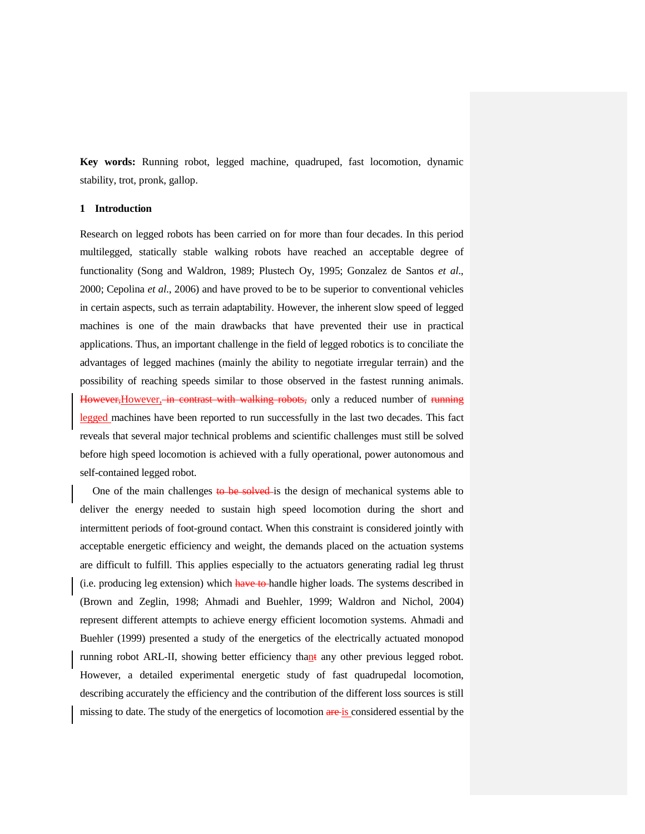**Key words:** Running robot, legged machine, quadruped, fast locomotion, dynamic stability, trot, pronk, gallop.

# **1 Introduction**

Research on legged robots has been carried on for more than four decades. In this period multilegged, statically stable walking robots have reached an acceptable degree of functionality (Song and Waldron, 1989; Plustech Oy, 1995; Gonzalez de Santos *et al*., 2000; Cepolina *et al*., 2006) and have proved to be to be superior to conventional vehicles in certain aspects, such as terrain adaptability. However, the inherent slow speed of legged machines is one of the main drawbacks that have prevented their use in practical applications. Thus, an important challenge in the field of legged robotics is to conciliate the advantages of legged machines (mainly the ability to negotiate irregular terrain) and the possibility of reaching speeds similar to those observed in the fastest running animals. However, However, in contrast with walking robots, only a reduced number of running legged machines have been reported to run successfully in the last two decades. This fact reveals that several major technical problems and scientific challenges must still be solved before high speed locomotion is achieved with a fully operational, power autonomous and self-contained legged robot.

One of the main challenges to be solved is the design of mechanical systems able to deliver the energy needed to sustain high speed locomotion during the short and intermittent periods of foot-ground contact. When this constraint is considered jointly with acceptable energetic efficiency and weight, the demands placed on the actuation systems are difficult to fulfill. This applies especially to the actuators generating radial leg thrust (i.e. producing leg extension) which have to handle higher loads. The systems described in [\(Brown](http://www.ri.cmu.edu/people/brown_h_benjamin.html) and [Zeglin,](http://www.ri.cmu.edu/people/zeglin_garth.html) 1998; Ahmadi and Buehler, 1999; Waldron and Nichol, 2004) represent different attempts to achieve energy efficient locomotion systems. Ahmadi and Buehler (1999) presented a study of the energetics of the electrically actuated monopod running robot ARL-II, showing better efficiency thant any other previous legged robot. However, a detailed experimental energetic study of fast quadrupedal locomotion, describing accurately the efficiency and the contribution of the different loss sources is still missing to date. The study of the energetics of locomotion are is considered essential by the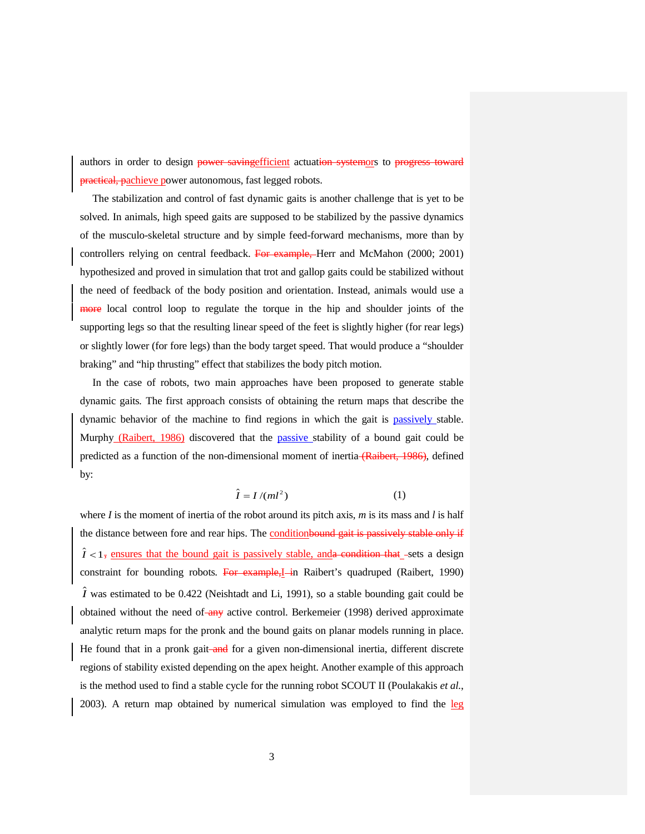authors in order to design power savingefficient actuation systemors to progress toward practical, pachieve power autonomous, fast legged robots.

The stabilization and control of fast dynamic gaits is another challenge that is yet to be solved. In animals, high speed gaits are supposed to be stabilized by the passive dynamics of the musculo-skeletal structure and by simple feed-forward mechanisms, more than by controllers relying on central feedback. For example, Herr and McMahon (2000; 2001) hypothesized and proved in simulation that trot and gallop gaits could be stabilized without the need of feedback of the body position and orientation. Instead, animals would use a more local control loop to regulate the torque in the hip and shoulder joints of the supporting legs so that the resulting linear speed of the feet is slightly higher (for rear legs) or slightly lower (for fore legs) than the body target speed. That would produce a "shoulder braking" and "hip thrusting" effect that stabilizes the body pitch motion.

In the case of robots, two main approaches have been proposed to generate stable dynamic gaits*.* The first approach consists of obtaining the return maps that describe the dynamic behavior of the machine to find regions in which the gait is passively stable. Murphy (Raibert, 1986) discovered that the passive stability of a bound gait could be predicted as a function of the non-dimensional moment of inertia (Raibert, 1986), defined by:

$$
\hat{I} = I/(ml^2) \tag{1}
$$

where *I* is the moment of inertia of the robot around its pitch axis, *m* is its mass and *l* is half the distance between fore and rear hips. The condition bound gait is passively stable only if  $\hat{I}$  < 1, ensures that the bound gait is passively stable, and a condition that sets a design constraint for bounding robots. For example,<sup>I</sup> in Raibert's quadruped (Raibert, 1990)  $\hat{I}$  was estimated to be 0.422 (Neishtadt and Li, 1991), so a stable bounding gait could be obtained without the need of any active control. Berkemeier (1998) derived approximate analytic return maps for the pronk and the bound gaits on planar models running in place. He found that in a pronk gait and for a given non-dimensional inertia, different discrete regions of stability existed depending on the apex height. Another example of this approach is the method used to find a stable cycle for the running robot SCOUT II (Poulakakis *et al.*, 2003). A return map obtained by numerical simulation was employed to find the  $leg$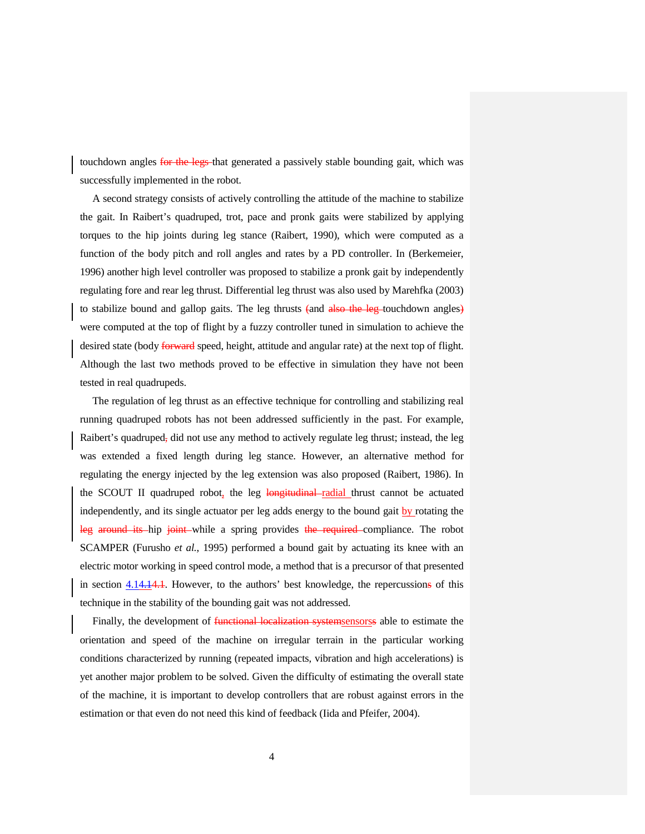touchdown angles for the legs-that generated a passively stable bounding gait, which was successfully implemented in the robot.

A second strategy consists of actively controlling the attitude of the machine to stabilize the gait. In Raibert's quadruped, trot, pace and pronk gaits were stabilized by applying torques to the hip joints during leg stance (Raibert, 1990), which were computed as a function of the body pitch and roll angles and rates by a PD controller. In (Berkemeier, 1996) another high level controller was proposed to stabilize a pronk gait by independently regulating fore and rear leg thrust. Differential leg thrust was also used by Marehfka (2003) to stabilize bound and gallop gaits. The leg thrusts (and also the leg-touchdown angles) were computed at the top of flight by a fuzzy controller tuned in simulation to achieve the desired state (body forward speed, height, attitude and angular rate) at the next top of flight. Although the last two methods proved to be effective in simulation they have not been tested in real quadrupeds.

The regulation of leg thrust as an effective technique for controlling and stabilizing real running quadruped robots has not been addressed sufficiently in the past. For example, Raibert's quadruped, did not use any method to actively regulate leg thrust; instead, the leg was extended a fixed length during leg stance. However, an alternative method for regulating the energy injected by the leg extension was also proposed (Raibert, 1986). In the SCOUT II quadruped robot, the leg longitudinal radial thrust cannot be actuated independently, and its single actuator per leg adds energy to the bound gait by rotating the leg around its hip joint while a spring provides the required compliance. The robot SCAMPER (Furusho *et al.*, 1995) performed a bound gait by actuating its knee with an electric motor working in speed control mode, a method that is a precursor of that presented in section  $4.14.14.1$ . However, to the authors' best knowledge, the repercussions of this technique in the stability of the bounding gait was not addressed.

Finally, the development of functional localization systems ensorss able to estimate the orientation and speed of the machine on irregular terrain in the particular working conditions characterized by running (repeated impacts, vibration and high accelerations) is yet another major problem to be solved. Given the difficulty of estimating the overall state of the machine, it is important to develop controllers that are robust against errors in the estimation or that even do not need this kind of feedback (Iida and Pfeifer, 2004).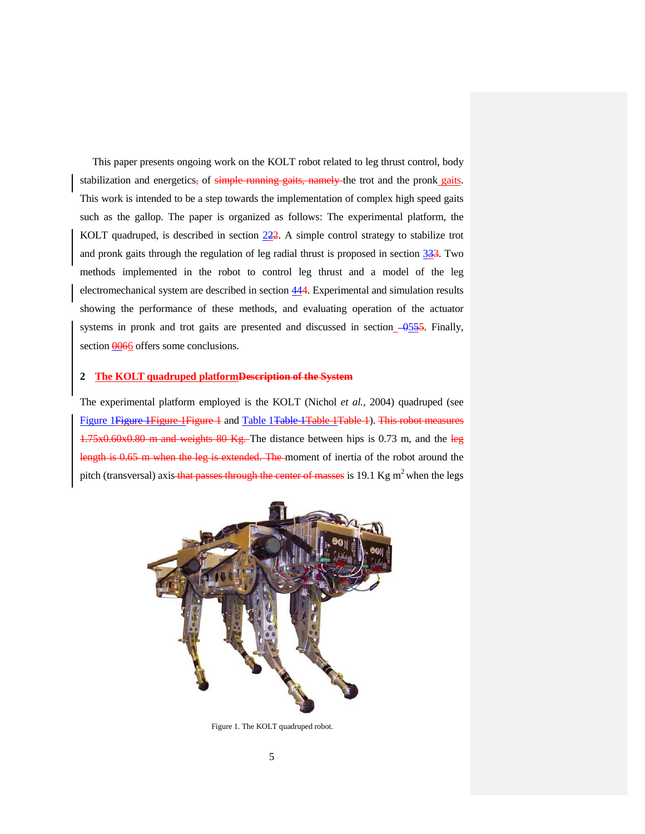This paper presents ongoing work on the KOLT robot related to leg thrust control, body stabilization and energetics, of simple running gaits, namely the trot and the pronk gaits. This work is intended to be a step towards the implementation of complex high speed gaits such as the gallop. The paper is organized as follows: The experimental platform, the KOLT quadruped, is described in section [222.](#page-4-0) A simple control strategy to stabilize trot and pronk gaits through the regulation of leg radial thrust is proposed in section  $\frac{333}{12}$ . Two methods implemented in the robot to control leg thrust and a model of the leg electromechanical system are described in section [444.](#page-11-1) Experimental and simulation results showing the performance of these methods, and evaluating operation of the actuator systems in pronk and trot gaits are presented and discussed in section  $-0.555$ . Finally, section  $\frac{0.066}{0.066}$  offers some conclusions.

# <span id="page-4-0"></span>**2 The KOLT quadruped platformDescription of the System**

The experimental platform employed is the KOLT (Nichol *et al.*, 2004) quadruped (see [Figure 1Figure 1Figure 1Figure 1](#page-4-1) and [Table 1Table 1Table 1Table 1\)](#page-8-1). This robot measures  $1.75 \times 0.60 \times 0.80$  m and weights 80 Kg. The distance between hips is 0.73 m, and the leg length is  $0.65$  m when the leg is extended. The moment of inertia of the robot around the pitch (transversal) axis that passes through the center of masses is 19.1 Kg  $m^2$  when the legs

<span id="page-4-1"></span>

Figure 1. The KOLT quadruped robot.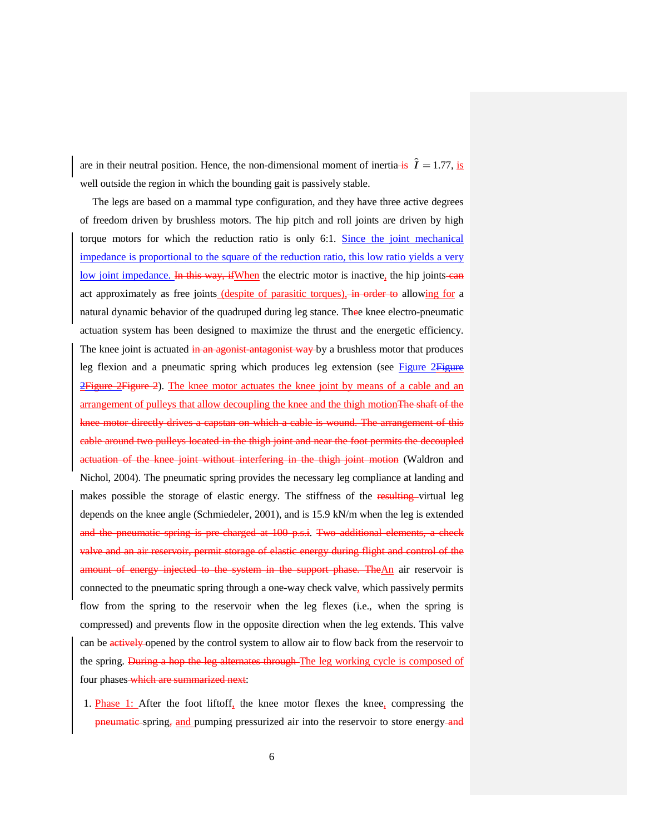are in their neutral position. Hence, the non-dimensional moment of inertia-is  $\hat{I} = 1.77$ , is well outside the region in which the bounding gait is passively stable.

The legs are based on a mammal type configuration, and they have three active degrees of freedom driven by brushless motors. The hip pitch and roll joints are driven by high torque motors for which the reduction ratio is only 6:1. Since the joint mechanical impedance is proportional to the square of the reduction ratio, this low ratio yields a very low joint impedance. In this way, if When the electric motor is inactive, the hip joints-can act approximately as free joints (despite of parasitic torques), in order to allowing for a natural dynamic behavior of the quadruped during leg stance. Thee knee electro-pneumatic actuation system has been designed to maximize the thrust and the energetic efficiency. The knee joint is actuated in an agonist-antagonist way by a brushless motor that produces leg flexion and a pneumatic spring which produces leg extension (see Figure 2Figure [2Figure 2Figure 2\)](#page-6-0). The knee motor actuates the knee joint by means of a cable and an arrangement of pulleys that allow decoupling the knee and the thigh motionThe shaft of the knee motor directly drives a capstan on which a cable is wound. The arrangement of this cable around two pulleys located in the thigh joint and near the foot permits the decoupled actuation of the knee joint without interfering in the thigh joint motion (Waldron and Nichol, 2004). The pneumatic spring provides the necessary leg compliance at landing and makes possible the storage of elastic energy. The stiffness of the resulting virtual leg depends on the knee angle (Schmiedeler, 2001), and is 15.9 kN/m when the leg is extended and the pneumatic spring is pre-charged at 100 p.s.i. Two additional elements, a check valve and an air reservoir, permit storage of elastic energy during flight and control of the amount of energy injected to the system in the support phase. The An air reservoir is connected to the pneumatic spring through a one-way check valve, which passively permits flow from the spring to the reservoir when the leg flexes (i.e., when the spring is compressed) and prevents flow in the opposite direction when the leg extends. This valve can be actively opened by the control system to allow air to flow back from the reservoir to the spring. During a hop the leg alternates through The leg working cycle is composed of four phases-which are summarized next:

1. Phase 1: After the foot liftoff, the knee motor flexes the knee, compressing the **pneumatic**-spring, and pumping pressurized air into the reservoir to store energy-and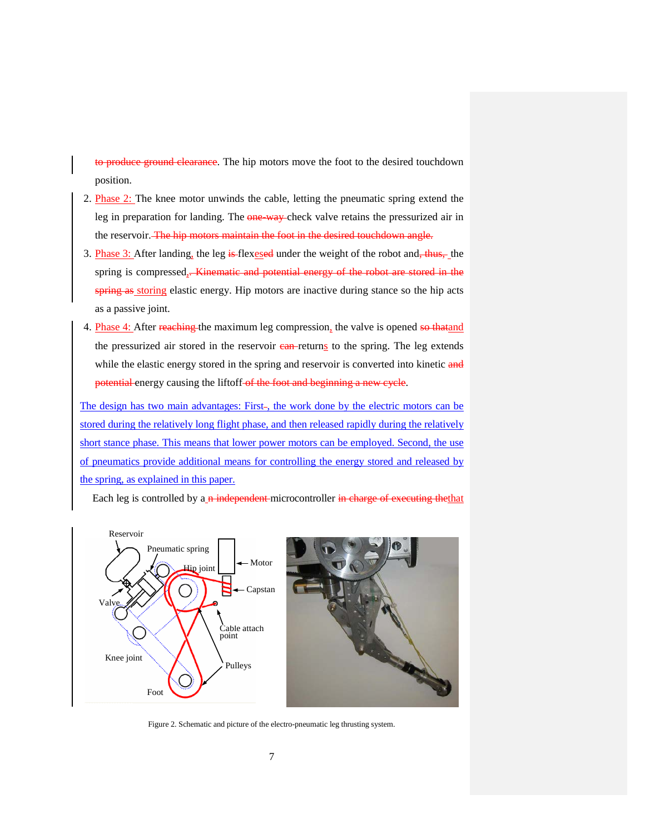to produce ground clearance. The hip motors move the foot to the desired touchdown position.

- 2. Phase 2: The knee motor unwinds the cable, letting the pneumatic spring extend the leg in preparation for landing. The one-way-check valve retains the pressurized air in the reservoir. The hip motors maintain the foot in the desired touchdown angle.
- 3. Phase 3: After landing, the leg is flexesed under the weight of the robot and, thus, the spring is compressed<sub>1</sub>. Kinematic and potential energy of the robot are stored in the spring as storing elastic energy. Hip motors are inactive during stance so the hip acts as a passive joint.
- 4. Phase 4: After reaching the maximum leg compression, the valve is opened so that and the pressurized air stored in the reservoir can-returns to the spring. The leg extends while the elastic energy stored in the spring and reservoir is converted into kinetic and potential energy causing the liftoff of the foot and beginning a new cycle.

The design has two main advantages: First-, the work done by the electric motors can be stored during the relatively long flight phase, and then released rapidly during the relatively short stance phase. This means that lower power motors can be employed. Second, the use of pneumatics provide additional means for controlling the energy stored and released by the spring, as explained in this paper.

Each leg is controlled by a\_n independent-microcontroller in charge of executing thethat



<span id="page-6-0"></span>Figure 2. Schematic and picture of the electro-pneumatic leg thrusting system.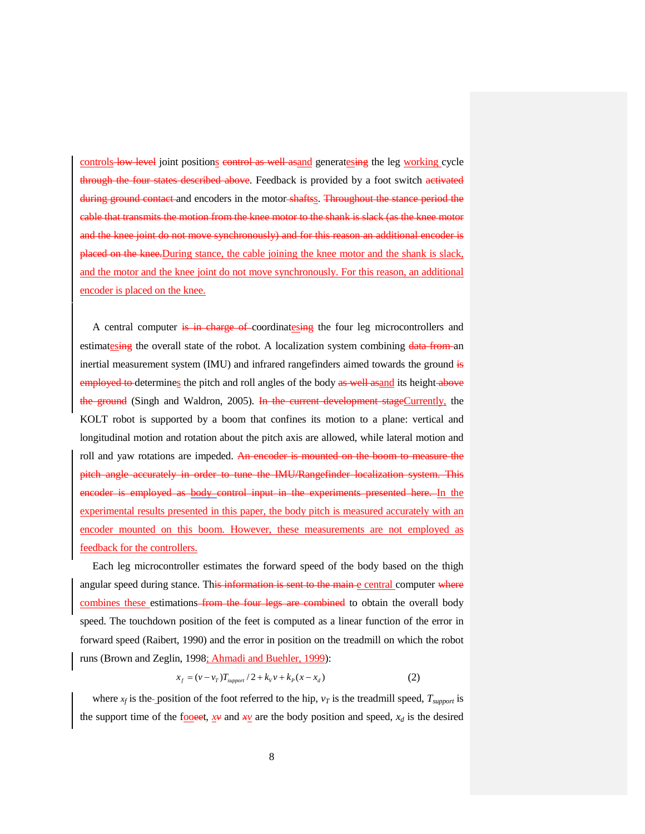controls-low level joint positions control as well asand generatesing the leg working cycle through the four states described above. Feedback is provided by a foot switch activated during ground contact and encoders in the motor shafts. Throughout the stance period the cable that transmits the motion from the knee motor to the shank is slack (as the knee motor and the knee joint do not move synchronously) and for this reason an additional encoder is placed on the knee.During stance, the cable joining the knee motor and the shank is slack, and the motor and the knee joint do not move synchronously. For this reason, an additional encoder is placed on the knee.

A central computer is in charge of coordinatesing the four leg microcontrollers and estimatesing the overall state of the robot. A localization system combining data from an inertial measurement system (IMU) and infrared rangefinders aimed towards the ground is employed to determines the pitch and roll angles of the body as well as and its height above the ground (Singh and Waldron, 2005). In the current development stageCurrently, the KOLT robot is supported by a boom that confines its motion to a plane: vertical and longitudinal motion and rotation about the pitch axis are allowed, while lateral motion and roll and yaw rotations are impeded. An encoder is mounted on the boom to measure the pitch angle accurately in order to tune the IMU/Rangefinder localization system. This encoder is employed as body control input in the experiments presented here. In the experimental results presented in this paper, the body pitch is measured accurately with an encoder mounted on this boom. However, these measurements are not employed as feedback for the controllers.

Each leg microcontroller estimates the forward speed of the body based on the thigh angular speed during stance. This information is sent to the main  $e$  central computer where combines these estimations from the four legs are combined to obtain the overall body speed. The touchdown position of the feet is computed as a linear function of the error in forward speed (Raibert, 1990) and the error in position on the treadmill on which the robot runs [\(Brown](http://www.ri.cmu.edu/people/brown_h_benjamin.html) and [Zeglin,](http://www.ri.cmu.edu/people/zeglin_garth.html) 1998; Ahmadi and Buehler, 1999):

$$
x_f = (v - v_T) T_{support} / 2 + k_V v + k_P (x - x_d)
$$
 (2)

where  $x_f$  is the-position of the foot referred to the hip,  $v_T$  is the treadmill speed,  $T_{support}$  is the support time of the fooeet,  $x \neq y$  and  $x \neq y$  are the body position and speed,  $x_d$  is the desired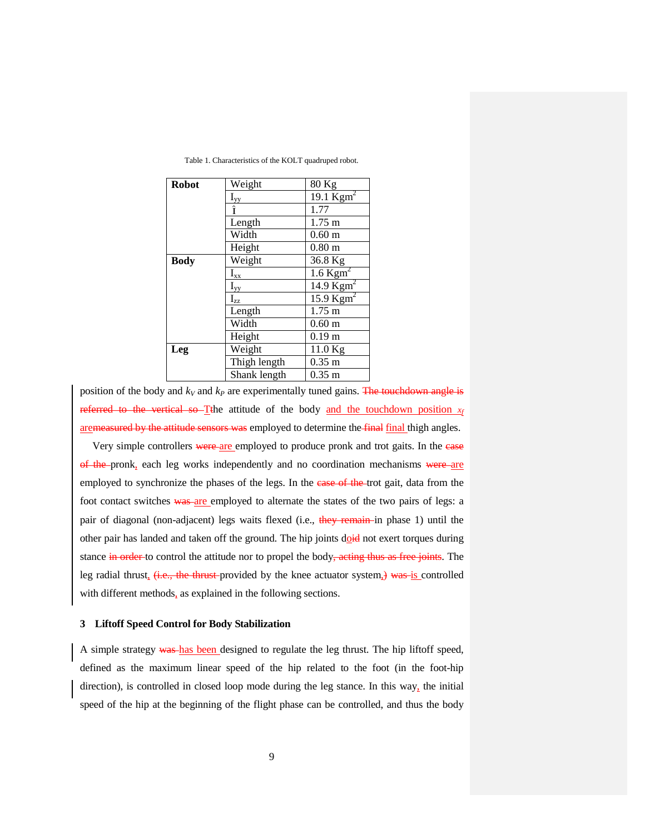<span id="page-8-1"></span>

| <b>Robot</b> | Weight       | 80 Kg                  |
|--------------|--------------|------------------------|
|              | $I_{yy}$     | 19.1 $Kgm^2$           |
|              | î            | 1.77                   |
|              | Length       | $1.75 \text{ m}$       |
|              | Width        | 0.60 <sub>m</sub>      |
|              | Height       | $0.80 \text{ m}$       |
| <b>Body</b>  | Weight       | 36.8 Kg                |
|              | $I_{xx}$     | $1.6$ Kgm <sup>2</sup> |
|              | $I_{yy}$     | 14.9 $Kgm2$            |
|              | $I_{zz}$     | 15.9 $Kgm2$            |
|              | Length       | $1.75 \text{ m}$       |
|              | Width        | 0.60 <sub>m</sub>      |
|              | Height       | 0.19 <sub>m</sub>      |
| Leg          | Weight       | 11.0 Kg                |
|              | Thigh length | $0.35$ m               |
|              | Shank length | $0.35 \; \mathrm{m}$   |

Table 1. Characteristics of the KOLT quadruped robot.

position of the body and  $k_y$  and  $k_p$  are experimentally tuned gains. The touchdown angle is referred to the vertical so T<sub>t</sub>he attitude of the body and the touchdown position  $x_f$ are measured by the attitude sensors was employed to determine the final final thigh angles.

Very simple controllers were are employed to produce pronk and trot gaits. In the ease of the pronk, each leg works independently and no coordination mechanisms were are employed to synchronize the phases of the legs. In the case of the trot gait, data from the foot contact switches was are employed to alternate the states of the two pairs of legs: a pair of diagonal (non-adjacent) legs waits flexed (i.e., they remain in phase 1) until the other pair has landed and taken off the ground. The hip joints doid not exert torques during stance in order to control the attitude nor to propel the body, acting thus as free joints. The leg radial thrust,  $(i.e.,$  the thrust provided by the knee actuator system,) was is controlled with different methods, as explained in the following sections.

## <span id="page-8-0"></span>**3 Liftoff Speed Control for Body Stabilization**

A simple strategy was has been designed to regulate the leg thrust. The hip liftoff speed, defined as the maximum linear speed of the hip related to the foot (in the foot-hip direction), is controlled in closed loop mode during the leg stance. In this way, the initial speed of the hip at the beginning of the flight phase can be controlled, and thus the body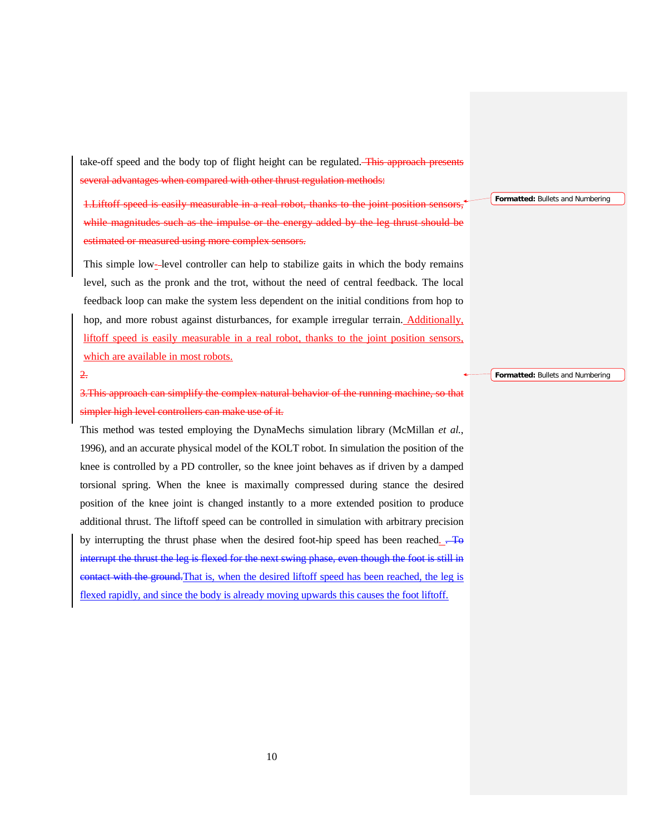take-off speed and the body top of flight height can be regulated. This approach presents several advantages when compared with other thrust regulation methods:

1.Liftoff speed is easily measurable in a real robot, thanks to the joint position sensors, while magnitudes such as the impulse or the energy added by the leg thrust should be estimated or measured using more complex sensors.

This simple low-level controller can help to stabilize gaits in which the body remains level, such as the pronk and the trot, without the need of central feedback. The local feedback loop can make the system less dependent on the initial conditions from hop to hop, and more robust against disturbances, for example irregular terrain. Additionally, liftoff speed is easily measurable in a real robot, thanks to the joint position sensors, which are available in most robots.

2.

3.This approach can simplify the complex natural behavior of the running machine, so that simpler high level controllers can make use of it.

This method was tested employing the DynaMechs simulation library (McMillan *et al.*, 1996), and an accurate physical model of the KOLT robot. In simulation the position of the knee is controlled by a PD controller, so the knee joint behaves as if driven by a damped torsional spring. When the knee is maximally compressed during stance the desired position of the knee joint is changed instantly to a more extended position to produce additional thrust. The liftoff speed can be controlled in simulation with arbitrary precision by interrupting the thrust phase when the desired foot-hip speed has been reached.  $\overline{+}$ interrupt the thrust the leg is flexed for the next swing phase, even though the foot is still in contact with the ground.That is, when the desired liftoff speed has been reached, the leg is flexed rapidly, and since the body is already moving upwards this causes the foot liftoff.

**Formatted:** Bullets and Numbering

**Formatted:** Bullets and Numbering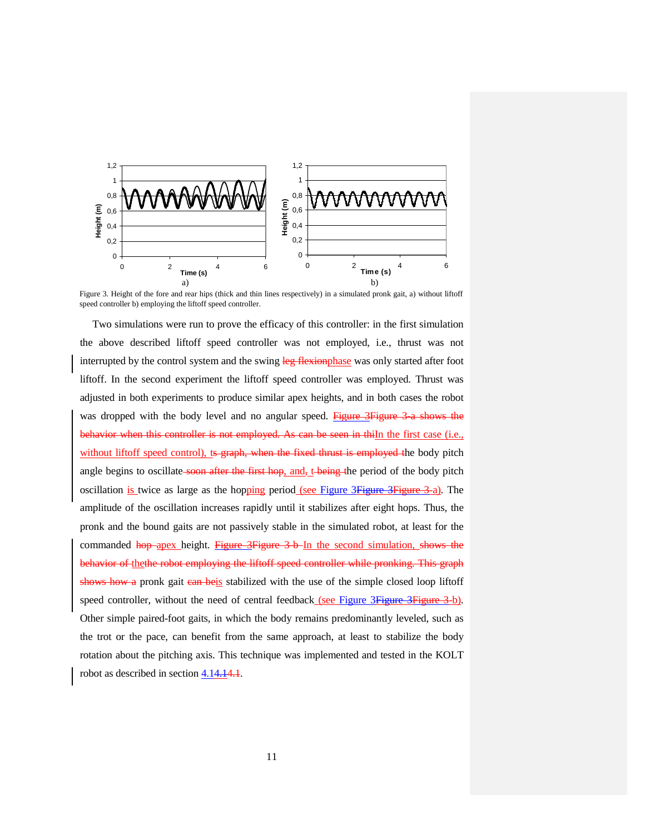

<span id="page-10-0"></span>Figure 3. Height of the fore and rear hips (thick and thin lines respectively) in a simulated pronk gait, a) without liftoff speed controller b) employing the liftoff speed controller.

Two simulations were run to prove the efficacy of this controller: in the first simulation the above described liftoff speed controller was not employed, i.e., thrust was not interrupted by the control system and the swing leg flexionphase was only started after foot liftoff. In the second experiment the liftoff speed controller was employed. Thrust was adjusted in both experiments to produce similar apex heights, and in both cases the robot was dropped with the body level and no angular speed. [Figure 3Figure 3-](#page-10-0)a shows the behavior when this controller is not employed. As can be seen in thiIn the first case (i.e., without liftoff speed control), ts graph, when the fixed thrust is employed the body pitch angle begins to oscillate soon after the first hop, and, t being the period of the body pitch oscillation is twice as large as the hopping period (see [Figure 3Figure 3Figure 3-](#page-10-0)a). The amplitude of the oscillation increases rapidly until it stabilizes after eight hops. Thus, the pronk and the bound gaits are not passively stable in the simulated robot, at least for the commanded hop apex height. [Figure 3Figure 3-](#page-10-0)b In the second simulation, shows the behavior of thethe robot employing the liftoff speed controller while pronking. This graph shows how a pronk gait can be is stabilized with the use of the simple closed loop liftoff speed controller, without the need of central feedback (see [Figure 3Figure 3Figure 3-](#page-10-0)b). Other simple paired-foot gaits, in which the body remains predominantly leveled, such as the trot or the pace, can benefit from the same approach, at least to stabilize the body rotation about the pitching axis. This technique was implemented and tested in the KOLT robot as described in section [4.14.14.1.](#page-11-0)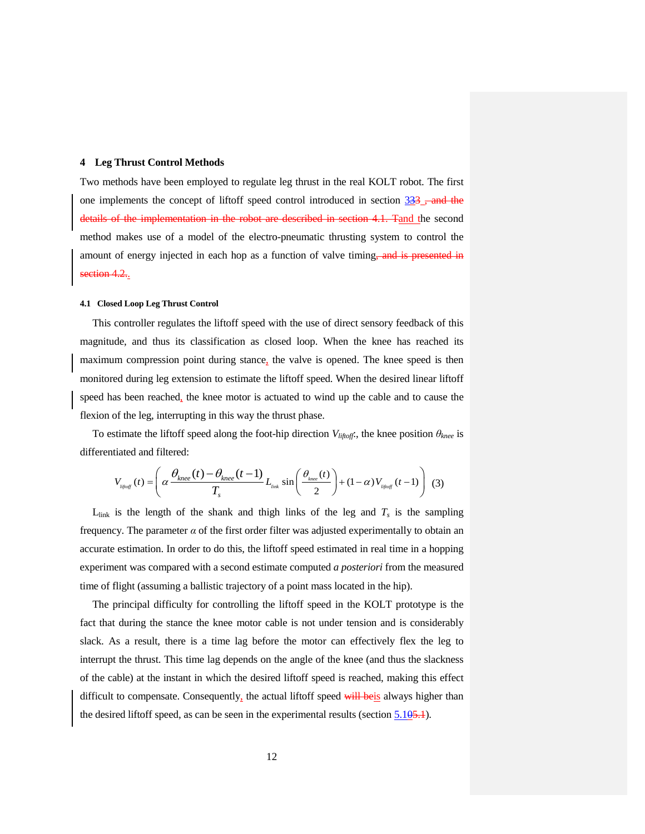#### <span id="page-11-1"></span>**4 Leg Thrust Control Methods**

Two methods have been employed to regulate leg thrust in the real KOLT robot. The first one implements the concept of liftoff speed control introduced in section  $333$ , and the details of the implementation in the robot are described in section [4.1.](#page-11-0) Tand the second method makes use of a model of the electro-pneumatic thrusting system to control the amount of energy injected in each hop as a function of valve timing, and is presented in <u>etion [4.2.](#page-12-0)</u>.

#### <span id="page-11-0"></span>**4.1 Closed Loop Leg Thrust Control**

This controller regulates the liftoff speed with the use of direct sensory feedback of this magnitude, and thus its classification as closed loop. When the knee has reached its maximum compression point during stance, the valve is opened. The knee speed is then monitored during leg extension to estimate the liftoff speed. When the desired linear liftoff speed has been reached, the knee motor is actuated to wind up the cable and to cause the flexion of the leg, interrupting in this way the thrust phase.

To estimate the liftoff speed along the foot-hip direction *Vliftoff*:, the knee position *θknee* is differentiated and filtered:

$$
V_{\text{lipog}}(t) = \left(\alpha \frac{\theta_{\text{knee}}(t) - \theta_{\text{knee}}(t-1)}{T_s} L_{\text{link}} \sin\left(\frac{\theta_{\text{knee}}(t)}{2}\right) + (1-\alpha) V_{\text{lipog}}(t-1)\right)
$$
(3)

 $L<sub>link</sub>$  is the length of the shank and thigh links of the leg and  $T<sub>s</sub>$  is the sampling frequency. The parameter  $\alpha$  of the first order filter was adjusted experimentally to obtain an accurate estimation. In order to do this, the liftoff speed estimated in real time in a hopping experiment was compared with a second estimate computed *a posteriori* from the measured time of flight (assuming a ballistic trajectory of a point mass located in the hip).

The principal difficulty for controlling the liftoff speed in the KOLT prototype is the fact that during the stance the knee motor cable is not under tension and is considerably slack. As a result, there is a time lag before the motor can effectively flex the leg to interrupt the thrust. This time lag depends on the angle of the knee (and thus the slackness of the cable) at the instant in which the desired liftoff speed is reached, making this effect difficult to compensate. Consequently, the actual liftoff speed will beis always higher than the desired liftoff speed, as can be seen in the experimental results (section  $5.105.1$ ).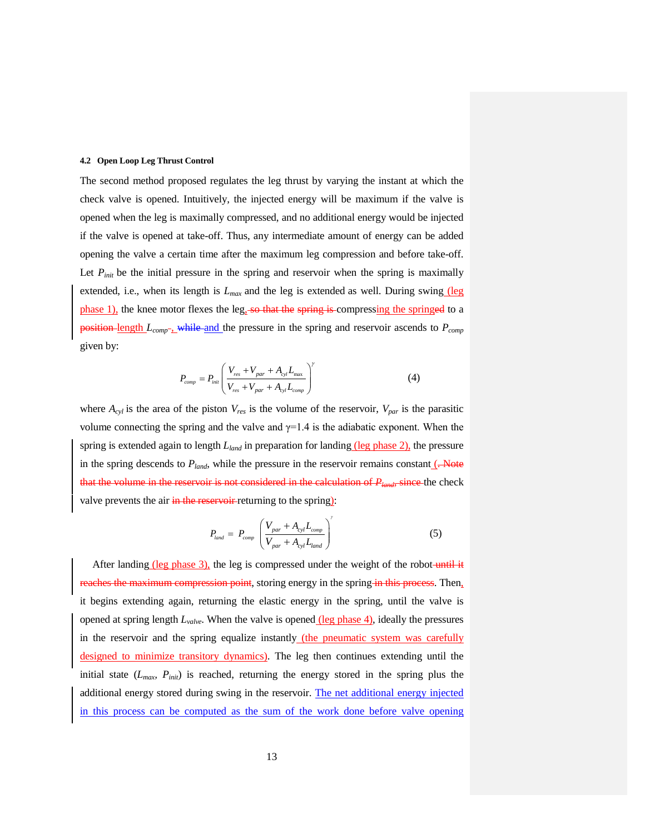#### <span id="page-12-0"></span>**4.2 Open Loop Leg Thrust Control**

The second method proposed regulates the leg thrust by varying the instant at which the check valve is opened. Intuitively, the injected energy will be maximum if the valve is opened when the leg is maximally compressed, and no additional energy would be injected if the valve is opened at take-off. Thus, any intermediate amount of energy can be added opening the valve a certain time after the maximum leg compression and before take-off. Let  $P_{init}$  be the initial pressure in the spring and reservoir when the spring is maximally extended, i.e., when its length is *Lmax* and the leg is extended as well. During swing (leg phase 1), the knee motor flexes the leg<sub>3</sub>-so that the spring is compressing the springed to a position length  $L_{comp}$ , while and the pressure in the spring and reservoir ascends to  $P_{comp}$ given by:

$$
P_{comp} = P_{init} \left( \frac{V_{res} + V_{par} + A_{cyl} L_{max}}{V_{res} + V_{par} + A_{cyl} L_{comp}} \right)^{\gamma}
$$
(4)

where  $A_{cyl}$  is the area of the piston  $V_{res}$  is the volume of the reservoir,  $V_{par}$  is the parasitic volume connecting the spring and the valve and  $\gamma=1.4$  is the adiabatic exponent. When the spring is extended again to length *L*<sub>land</sub> in preparation for landing (leg phase 2), the pressure in the spring descends to  $P_{land}$ , while the pressure in the reservoir remains constant  $\left(\frac{}{\sqrt{1-\epsilon}}\right)$ that the volume in the reservoir is not considered in the calculation of  $P_{land}$ , since the check valve prevents the air in the reservoir returning to the spring):

$$
P_{land} = P_{comp} \left( \frac{V_{par} + A_{cyl} L_{comp}}{V_{par} + A_{cyl} L_{land}} \right)'
$$
 (5)

After landing  $\frac{(\text{leg phase 3})}{(\text{deg phase 3})}$ , the leg is compressed under the weight of the robot-until it reaches the maximum compression point, storing energy in the spring in this process. Then, it begins extending again, returning the elastic energy in the spring, until the valve is opened at spring length  $L_{\text{value}}$ . When the valve is opened (leg phase 4), ideally the pressures in the reservoir and the spring equalize instantly (the pneumatic system was carefully designed to minimize transitory dynamics). The leg then continues extending until the initial state (*Lmax, Pinit*) is reached, returning the energy stored in the spring plus the additional energy stored during swing in the reservoir. The net additional energy injected in this process can be computed as the sum of the work done before valve opening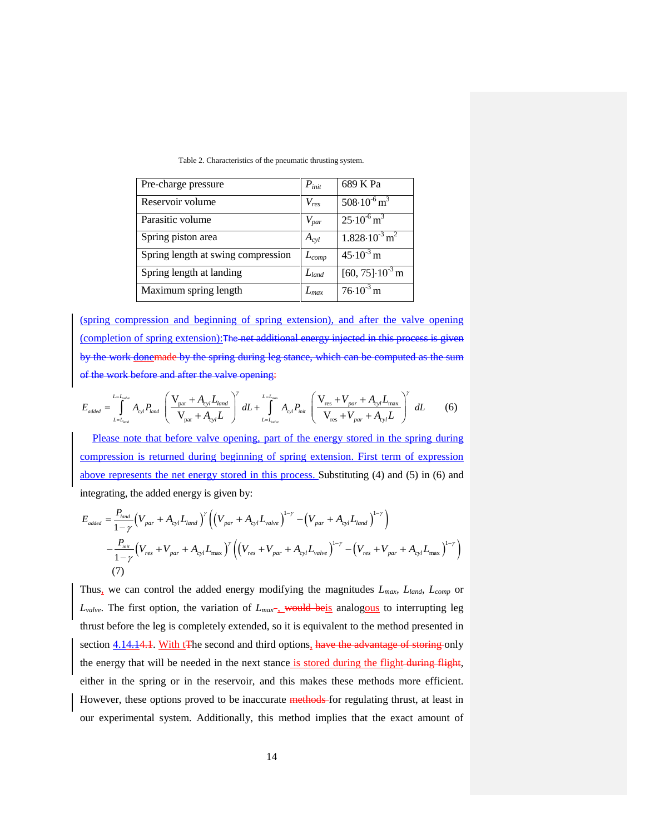<span id="page-13-0"></span>

| Pre-charge pressure                | $P_{init}$ | 689 K Pa                             |
|------------------------------------|------------|--------------------------------------|
| Reservoir volume                   | $V_{res}$  | $508 \cdot 10^{-6}$ m <sup>3</sup>   |
| Parasitic volume                   | $V_{par}$  | $25.10^{-6}$ m <sup>3</sup>          |
| Spring piston area                 | $A_{cyl}$  | $1.828 \cdot 10^{-3}$ m <sup>2</sup> |
| Spring length at swing compression | $L_{comp}$ | $45.10^{3}$ m                        |
| Spring length at landing           | $L_{land}$ | $[60, 75] \cdot 10^{-3}$ m           |
| Maximum spring length              | $L_{max}$  | $76.10^{-3}$ m                       |

Table 2. Characteristics of the pneumatic thrusting system.

(spring compression and beginning of spring extension), and after the valve opening (completion of spring extension):The net additional energy injected in this process is given by the work donemade by the spring during leg stance, which can be computed as the sum of the work before and after the valve opening:

$$
E_{added} = \int_{L=L_{t_{end}}^{L} A_{cyl} P_{land} \left( \frac{V_{par} + A_{cyl} L_{land}}{V_{par} + A_{cyl} L} \right)^{\gamma} dL + \int_{L=L_{t_{end}}^{L=L_{max}} A_{cyl} P_{init} \left( \frac{V_{res} + V_{par} + A_{cyl} L_{max}}{V_{res} + V_{par} + A_{cyl} L} \right)^{\gamma} dL \tag{6}
$$

Please note that before valve opening, part of the energy stored in the spring during compression is returned during beginning of spring extension. First term of expression above represents the net energy stored in this process. Substituting (4) and (5) in (6) and integrating, the added energy is given by:

$$
E_{added} = \frac{P_{land}}{1 - \gamma} \left( V_{par} + A_{cyl} L_{land} \right)^{\gamma} \left( \left( V_{par} + A_{cyl} L_{valve} \right)^{1 - \gamma} - \left( V_{par} + A_{cyl} L_{land} \right)^{1 - \gamma} \right)
$$
  
- 
$$
\frac{P_{init}}{1 - \gamma} \left( V_{res} + V_{par} + A_{cyl} L_{max} \right)^{\gamma} \left( \left( V_{res} + V_{par} + A_{cyl} L_{valve} \right)^{1 - \gamma} - \left( V_{res} + V_{par} + A_{cyl} L_{max} \right)^{1 - \gamma} \right)
$$
  
(7)

Thus, we can control the added energy modifying the magnitudes *Lmax, Lland*, *Lcomp* or  $L_{value}$ . The first option, the variation of  $L_{max}$  would beis analogous to interrupting leg thrust before the leg is completely extended, so it is equivalent to the method presented in section  $4.14.14.1$ . With t<sub>T</sub>he second and third options, have the advantage of storing only the energy that will be needed in the next stance is stored during the flight-during flight, either in the spring or in the reservoir, and this makes these methods more efficient. However, these options proved to be inaccurate methods for regulating thrust, at least in our experimental system. Additionally, this method implies that the exact amount of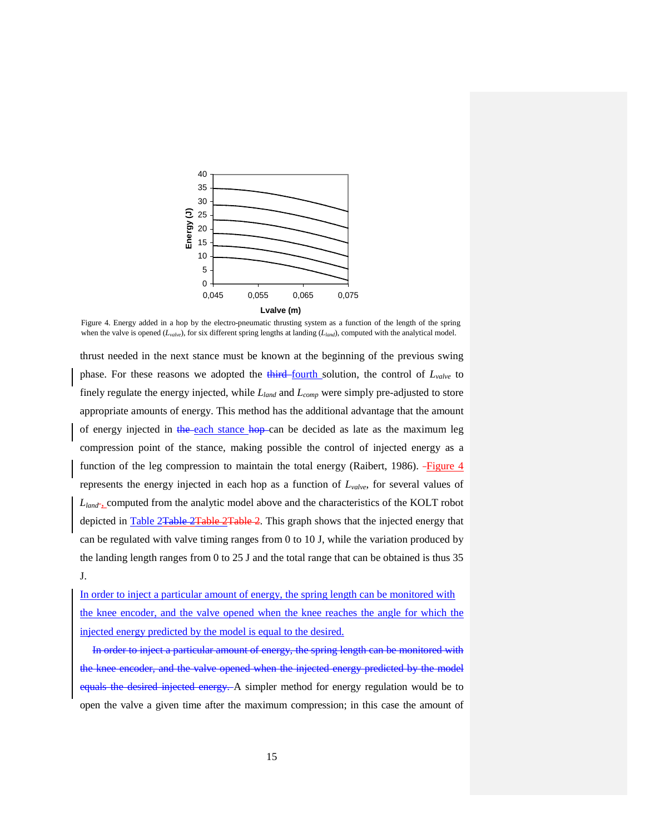

<span id="page-14-0"></span>Figure 4. Energy added in a hop by the electro-pneumatic thrusting system as a function of the length of the spring when the valve is opened  $(L_{valve})$ , for six different spring lengths at landing  $(L_{land})$ , computed with the analytical model.

thrust needed in the next stance must be known at the beginning of the previous swing phase. For these reasons we adopted the  $\frac{third-fourth}$  solution, the control of  $L_{value}$  to finely regulate the energy injected, while *Lland* and *Lcomp* were simply pre-adjusted to store appropriate amounts of energy. This method has the additional advantage that the amount of energy injected in the each stance hop can be decided as late as the maximum leg compression point of the stance, making possible the control of injected energy as a function of the leg compression to maintain the total energy (Raibert, 1986). -Figure 4 represents the energy injected in each hop as a function of *Lvalve*, for several values of L<sub>land</sub> computed from the analytic model above and the characteristics of the KOLT robot depicted in [Table 2Table 2Table 2Table 2.](#page-13-0) This graph shows that the injected energy that can be regulated with valve timing ranges from 0 to 10 J, while the variation produced by the landing length ranges from 0 to 25 J and the total range that can be obtained is thus 35 J.

In order to inject a particular amount of energy, the spring length can be monitored with the knee encoder, and the valve opened when the knee reaches the angle for which the injected energy predicted by the model is equal to the desired.

In order to inject a particular amount of energy, the spring length can be monitored with the knee encoder, and the valve opened when the injected energy predicted by the model equals the desired injected energy. A simpler method for energy regulation would be to open the valve a given time after the maximum compression; in this case the amount of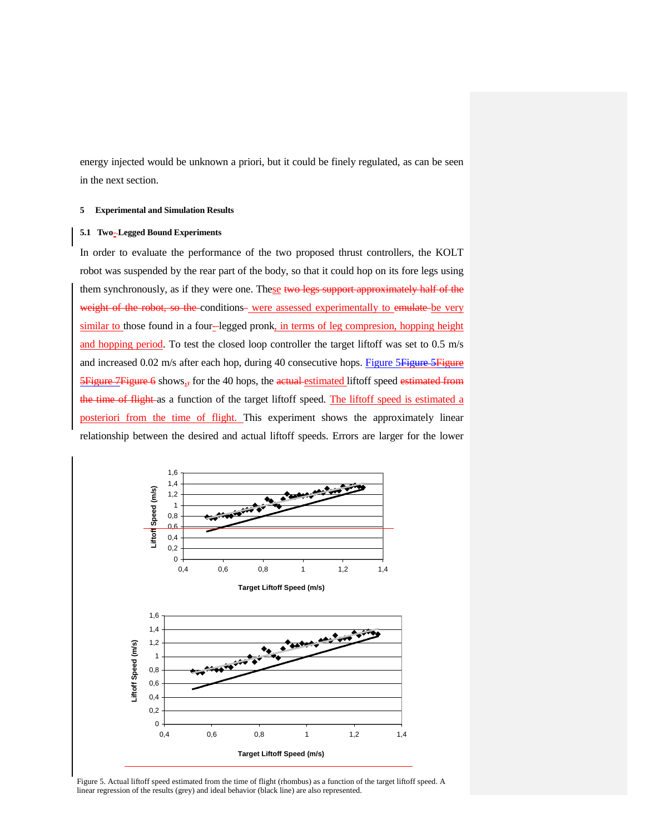energy injected would be unknown a priori, but it could be finely regulated, as can be seen in the next section.

## <span id="page-15-0"></span>**5 Experimental and Simulation Results**

## <span id="page-15-1"></span>**5.1 Two- Legged Bound Experiments**

In order to evaluate the performance of the two proposed thrust controllers, the KOLT robot was suspended by the rear part of the body, so that it could hop on its fore legs using them synchronously, as if they were one. These two legs support approximately half of the weight of the robot, so the conditions- were assessed experimentally to emulate be very similar to those found in a four-legged pronk, in terms of leg compresion, hopping height and hopping period. To test the closed loop controller the target liftoff was set to 0.5 m/s and increased 0.02 m/s after each hop, during 40 consecutive hops. Figure 5Figure 5Figure **[5Figure 7Figure 6](#page-15-2)** shows<sub>5</sub>, for the 40 hops, the actual estimated liftoff speed estimated from the time of flight as a function of the target liftoff speed. The liftoff speed is estimated a posteriori from the time of flight. This experiment shows the approximately linear relationship between the desired and actual liftoff speeds. Errors are larger for the lower



<span id="page-15-2"></span>Figure 5. Actual liftoff speed estimated from the time of flight (rhombus) as a function of the target liftoff speed. A linear regression of the results (grey) and ideal behavior (black line) are also represented.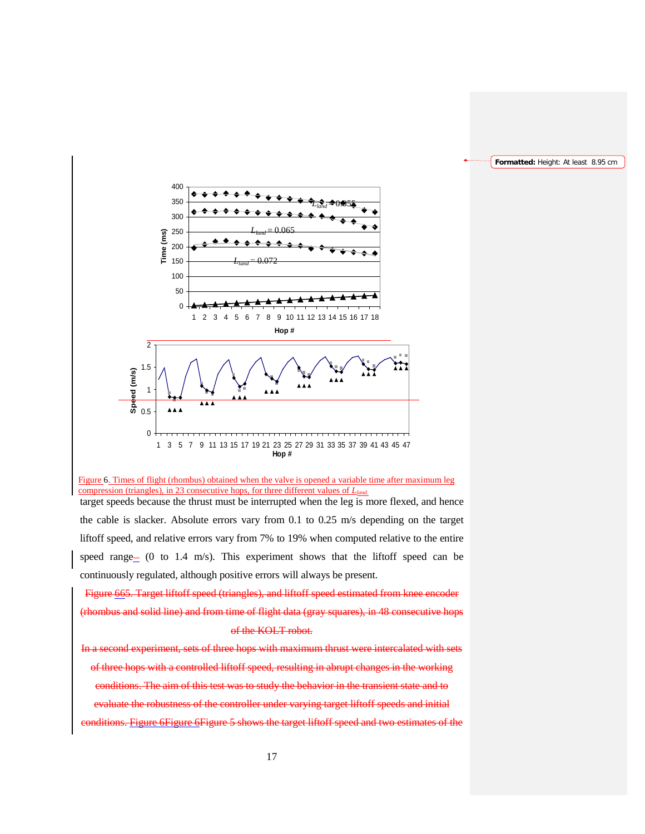

<span id="page-16-0"></span>

target speeds because the thrust must be interrupted when the leg is more flexed, and hence the cable is slacker. Absolute errors vary from 0.1 to 0.25 m/s depending on the target liftoff speed, and relative errors vary from 7% to 19% when computed relative to the entire speed range-  $(0 \text{ to } 1.4 \text{ m/s})$ . This experiment shows that the liftoff speed can be continuously regulated, although positive errors will always be present.

Figure 665. Target liftoff speed (triangles), and liftoff speed estimated from knee encoder (rhombus and solid line) and from time of flight data (gray squares) of the KOLT robot.

In a second experiment, sets of three hops with maximum thrust were intercalated with sets of three hops with a controlled liftoff speed, resulting in abrupt change study the behavior in the transient state and to evaluate the robustness of the controller under varying target liftoff speeds and initial conditions. [Figure 6Figure 6Figure](#page-16-0) 5 shows the target liftoff speed and two estimates of the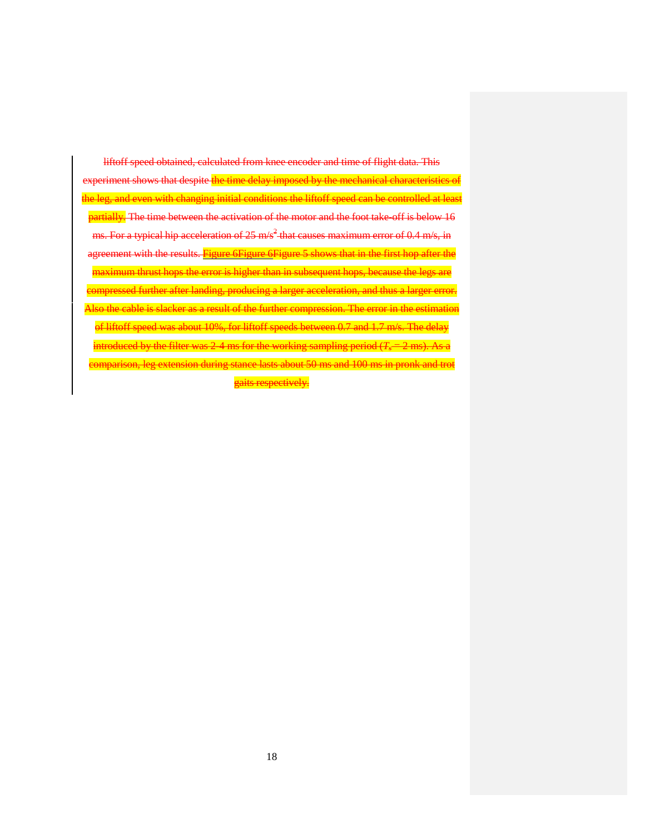liftoff speed obtained, calculated from knee encoder and time of flight data. This experiment shows that despite the time delay imposed by the mechanical characteristics of the leg, and even with changing initial conditions the liftoff speed can be controlled at least partially. The time between the activation of the motor and the foot take-off is below 16 ms. For a typical hip acceleration of  $25 \text{ m/s}^2$  that causes maximum error of 0.4 m/s, in agreement with the results. [Figure 6Figure 6Figure 5](#page-16-0) shows that in the first hop after the maximum thrust hops the error is higher than in subsequent hops, because the legs are compressed further after landing, producing a larger acceleration, and thus a larger error. Also the cable is slacker as a result of the further compression. The error in the estimation of liftoff speed was about 10%, for liftoff speeds between 0.7 and 1.7 m/s. The delay introduced by the filter was 2-4 ms for the working sampling period  $(T_s = 2 \text{ ms})$ . As a comparison, leg extension during stance lasts about 50 ms and 100 ms in pronk and trot gaits respectively.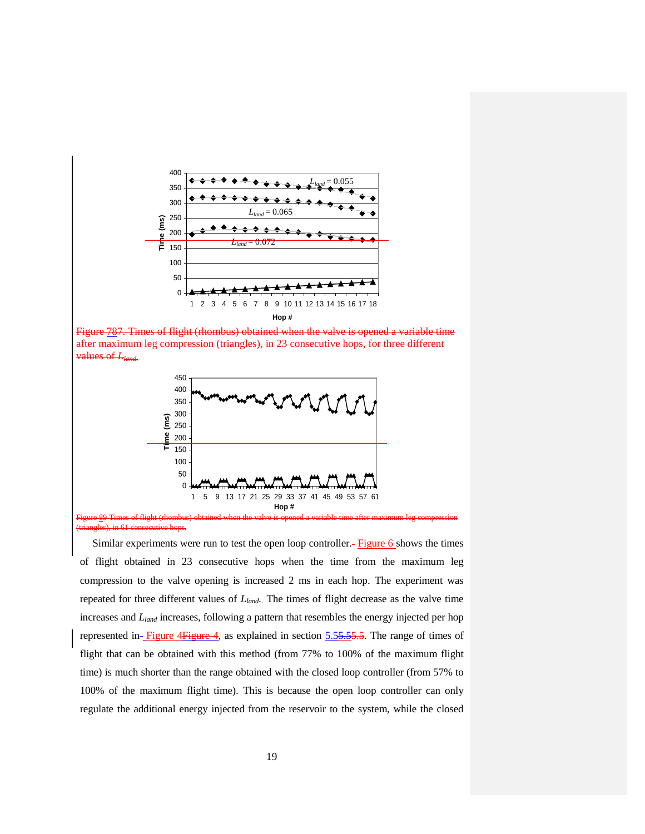

Figure **787**. Times of flight (rhombus) obtained when the valve is opened a variable time after maximum leg compression (triangles), in 23 consecutive hops, for three different  $\theta$ 



<span id="page-18-0"></span>(triangles), in 61 consecutive hops.

Similar experiments were run to test the open loop controller. Figure 6 shows the times of flight obtained in 23 consecutive hops when the time from the maximum leg compression to the valve opening is increased 2 ms in each hop. The experiment was repeated for three different values of *Lland..* The times of flight decrease as the valve time increases and *Lland* increases, following a pattern that resembles the energy injected per hop represented in-[Figure 4Figure 4,](#page-14-0) as explained in section [5.55.55.5.](#page-26-0) The range of times of flight that can be obtained with this method (from 77% to 100% of the maximum flight time) is much shorter than the range obtained with the closed loop controller (from 57% to 100% of the maximum flight time). This is because the open loop controller can only regulate the additional energy injected from the reservoir to the system, while the closed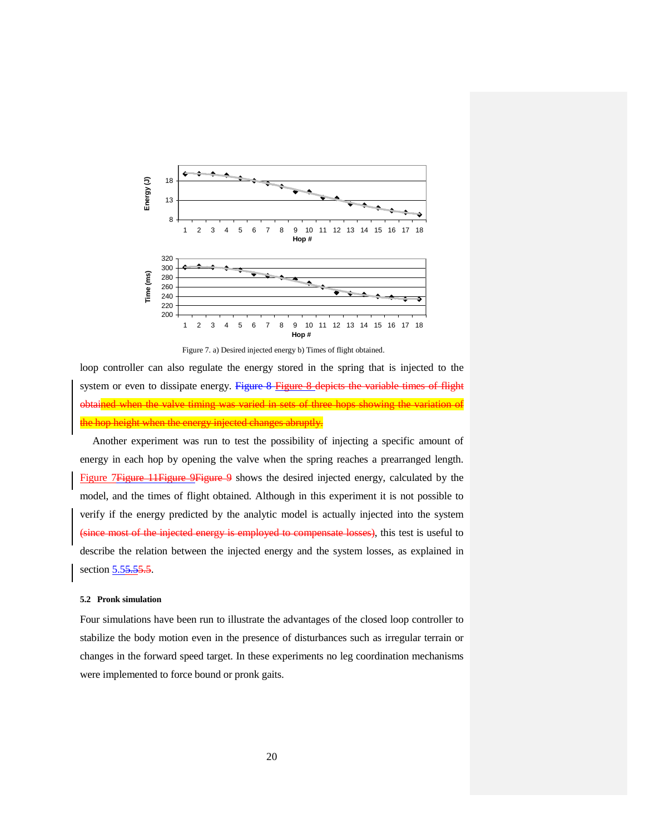

Figure 7. a) Desired injected energy b) Times of flight obtained.

<span id="page-19-0"></span>loop controller can also regulate the energy stored in the spring that is injected to the system or even to dissipate energy. [Figure 8](#page-18-0) Figure 8 depicts the variable times of flight obtained when the valve timing was varied in sets of three hops showing the variation of the hop height when the energy injected changes abruptly.

Another experiment was run to test the possibility of injecting a specific amount of energy in each hop by opening the valve when the spring reaches a prearranged length. [Figure 7Figure 11Figure](#page-19-0) 9Figure 9 shows the desired injected energy, calculated by the model, and the times of flight obtained. Although in this experiment it is not possible to verify if the energy predicted by the analytic model is actually injected into the system (since most of the injected energy is employed to compensate losses), this test is useful to describe the relation between the injected energy and the system losses, as explained in section [5.55.55.5.](#page-26-0)

#### **5.2 Pronk simulation**

Four simulations have been run to illustrate the advantages of the closed loop controller to stabilize the body motion even in the presence of disturbances such as irregular terrain or changes in the forward speed target. In these experiments no leg coordination mechanisms were implemented to force bound or pronk gaits.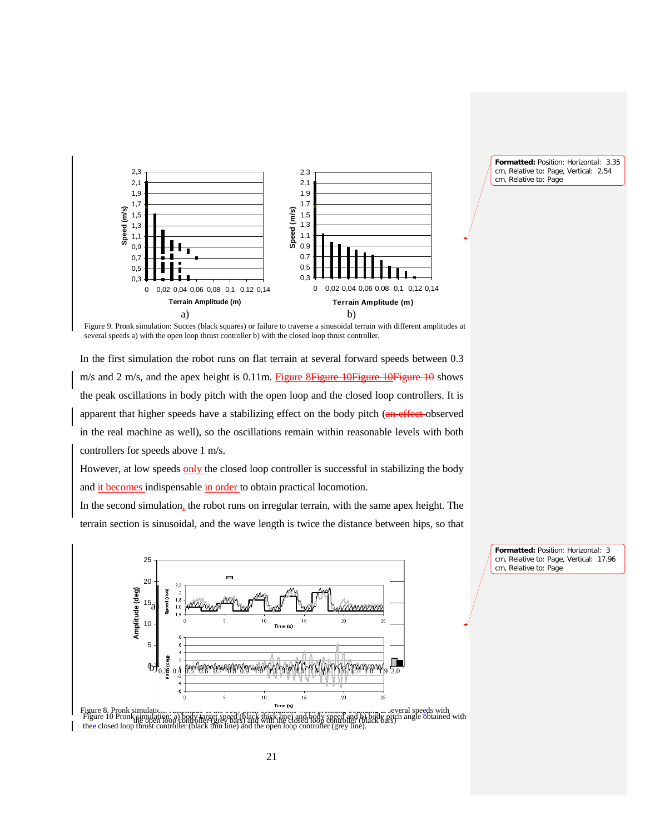

**Formatted:** Position: Horizontal: 3.35 cm, Relative to: Page, Vertical: 2.54 cm, Relative to: Page

<span id="page-20-1"></span>

In the first simulation the robot runs on flat terrain at several forward speeds between 0.3 m/s and 2 m/s, and the apex height is 0.11m. [Figure 8Figure 10Figure 10Figure 10](#page-20-0) shows the peak oscillations in body pitch with the open loop and the closed loop controllers. It is apparent that higher speeds have a stabilizing effect on the body pitch (an effect observed in the real machine as well), so the oscillations remain within reasonable levels with both controllers for speeds above 1 m/s.

However, at low speeds only the closed loop controller is successful in stabilizing the body and it becomes indispensable in order to obtain practical locomotion.

In the second simulation, the robot runs on irregular terrain, with the same apex height. The terrain section is sinusoidal, and the wave length is twice the distance between hips, so that



**Formatted:** Position: Horizontal: 3 cm, Relative to: Page, Vertical: 17.96 cm, Relative to: Page

<span id="page-20-2"></span><span id="page-20-0"></span>the open loop controller (grey bars) and with the closed loop controller (black bars) Figure 10 Pronk simulation: a) body target speed (black thick line) and body speed and b) body pitch angle obtained with thee closed loop thrust controller (black thin line) and the open loop controller (grey line).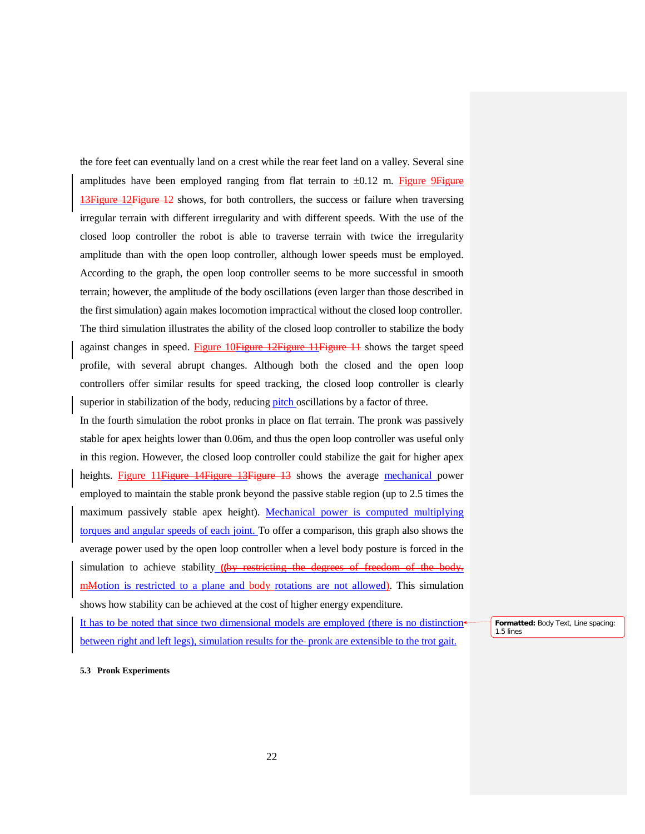the fore feet can eventually land on a crest while the rear feet land on a valley. Several sine amplitudes have been employed ranging from flat terrain to  $\pm 0.12$  m. Figure 9 Figure [13Figure 12Figure 12](#page-20-1) shows, for both controllers, the success or failure when traversing irregular terrain with different irregularity and with different speeds. With the use of the closed loop controller the robot is able to traverse terrain with twice the irregularity amplitude than with the open loop controller, although lower speeds must be employed. According to the graph, the open loop controller seems to be more successful in smooth terrain; however, the amplitude of the body oscillations (even larger than those described in the first simulation) again makes locomotion impractical without the closed loop controller. The third simulation illustrates the ability of the closed loop controller to stabilize the body against changes in speed. [Figure 10Figure 12Figure 11Figure 11](#page-20-2) shows the target speed profile, with several abrupt changes. Although both the closed and the open loop controllers offer similar results for speed tracking, the closed loop controller is clearly superior in stabilization of the body, reducing pitch oscillations by a factor of three.

In the fourth simulation the robot pronks in place on flat terrain. The pronk was passively stable for apex heights lower than 0.06m, and thus the open loop controller was useful only in this region. However, the closed loop controller could stabilize the gait for higher apex heights. Figure 11<del>Figure 14Figure 13Figure 13</del> shows the average mechanical power employed to maintain the stable pronk beyond the passive stable region (up to 2.5 times the maximum passively stable apex height). Mechanical power is computed multiplying torques and angular speeds of each joint. To offer a comparison, this graph also shows the average power used by the open loop controller when a level body posture is forced in the simulation to achieve stability **((**by restricting the degrees of freedom of the body. mMotion is restricted to a plane and body rotations are not allowed). This simulation shows how stability can be achieved at the cost of higher energy expenditure.

It has to be noted that since two dimensional models are employed (there is no distinction between right and left legs), simulation results for the pronk are extensible to the trot gait.

**Formatted:** Body Text, Line spacing: 1.5 lines

**5.3 Pronk Experiments**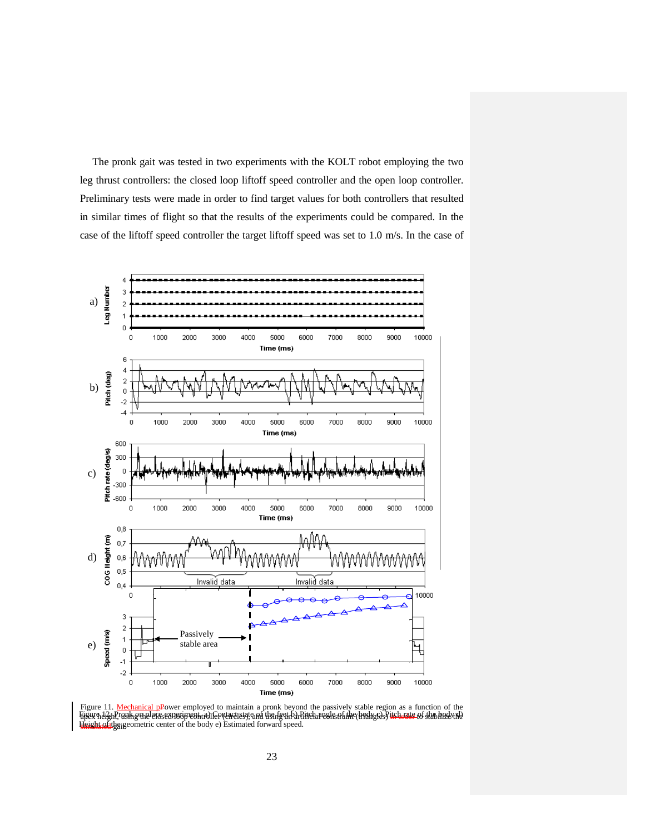The pronk gait was tested in two experiments with the KOLT robot employing the two leg thrust controllers: the closed loop liftoff speed controller and the open loop controller. Preliminary tests were made in order to find target values for both controllers that resulted in similar times of flight so that the results of the experiments could be compared. In the case of the liftoff speed controller the target liftoff speed was set to 1.0 m/s. In the case of



<span id="page-22-1"></span><span id="page-22-0"></span>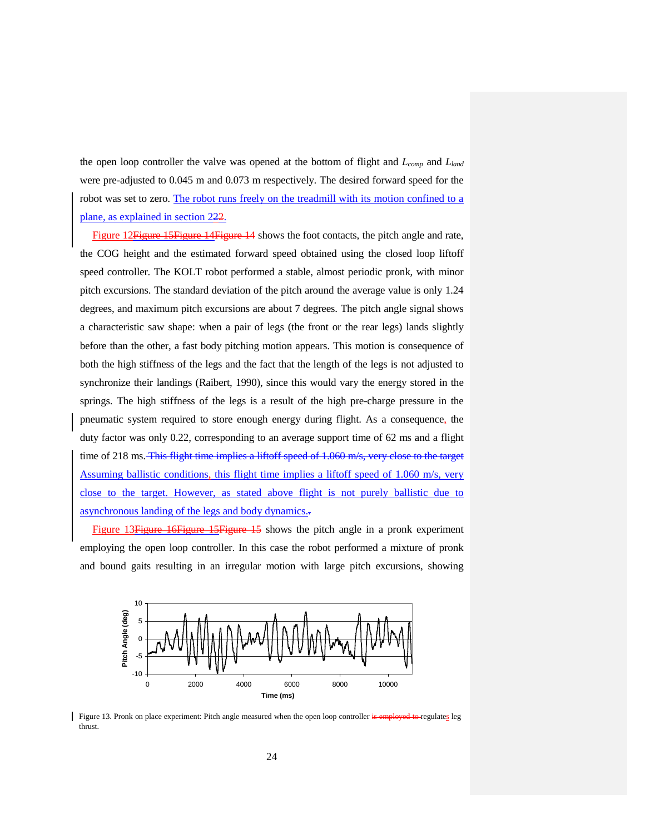the open loop controller the valve was opened at the bottom of flight and *Lcomp* and *Lland* were pre-adjusted to 0.045 m and 0.073 m respectively. The desired forward speed for the robot was set to zero. The robot runs freely on the treadmill with its motion confined to a plane, as explained in section [222.](#page-4-0)

Figure 12<del>Figure 15Figure 14Figure 14</del> shows the foot contacts, the pitch angle and rate, the COG height and the estimated forward speed obtained using the closed loop liftoff speed controller. The KOLT robot performed a stable, almost periodic pronk, with minor pitch excursions. The standard deviation of the pitch around the average value is only 1.24 degrees, and maximum pitch excursions are about 7 degrees. The pitch angle signal shows a characteristic saw shape: when a pair of legs (the front or the rear legs) lands slightly before than the other, a fast body pitching motion appears. This motion is consequence of both the high stiffness of the legs and the fact that the length of the legs is not adjusted to synchronize their landings (Raibert, 1990), since this would vary the energy stored in the springs. The high stiffness of the legs is a result of the high pre-charge pressure in the pneumatic system required to store enough energy during flight. As a consequence, the duty factor was only 0.22, corresponding to an average support time of 62 ms and a flight time of 218 ms. This flight time implies a liftoff speed of 1.060 m/s, very close to the target Assuming ballistic conditions, this flight time implies a liftoff speed of 1.060 m/s, very close to the target. However, as stated above flight is not purely ballistic due to asynchronous landing of the legs and body dynamics..

[Figure 13Figure 16Figure 15Figure 15](#page-23-0) shows the pitch angle in a pronk experiment employing the open loop controller. In this case the robot performed a mixture of pronk and bound gaits resulting in an irregular motion with large pitch excursions, showing



<span id="page-23-0"></span>Figure 13. Pronk on place experiment: Pitch angle measured when the open loop controller is employed to regulates leg thrust.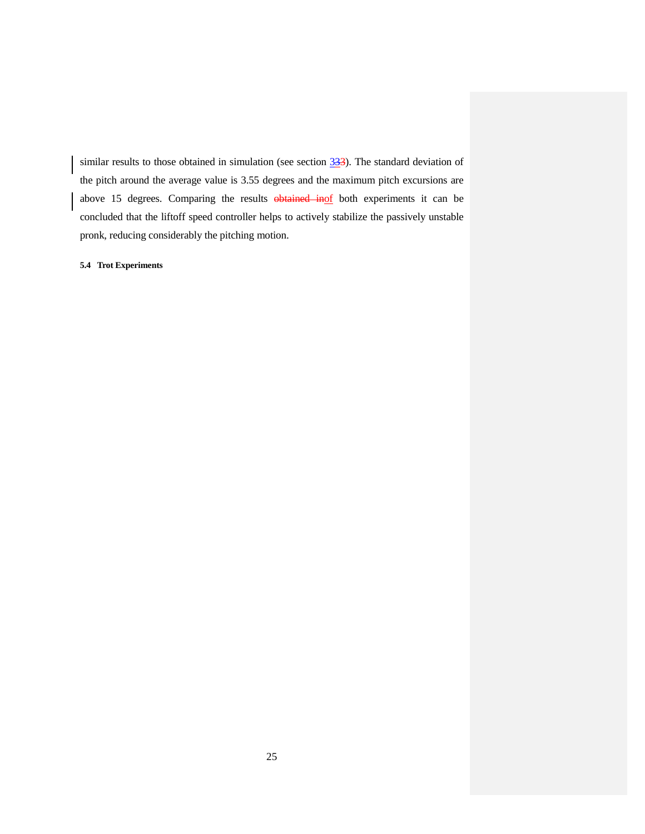similar results to those obtained in simulation (see section  $3\frac{33}{2}$ ). The standard deviation of the pitch around the average value is 3.55 degrees and the maximum pitch excursions are above 15 degrees. Comparing the results **obtained inof** both experiments it can be concluded that the liftoff speed controller helps to actively stabilize the passively unstable pronk, reducing considerably the pitching motion.

# <span id="page-24-0"></span>**5.4 Trot Experiments**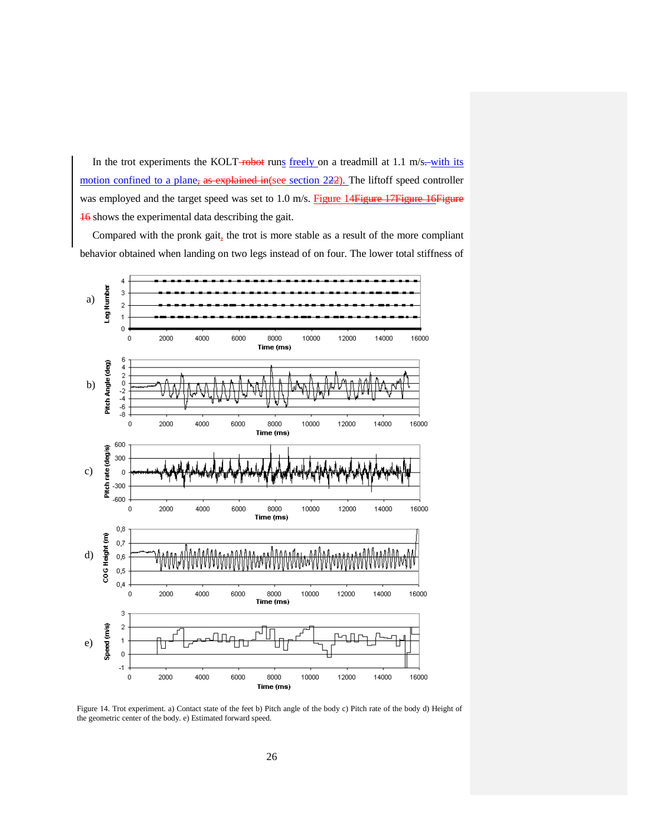In the trot experiments the KOLT-robot runs freely on a treadmill at 1.1 m/s-with its motion confined to a plane, as explained in(see section [222\)](#page-4-0). The liftoff speed controller was employed and the target speed was set to 1.0 m/s. Figure 14Figure 17Figure 16Figure [16](#page-25-0) shows the experimental data describing the gait.

Compared with the pronk gait, the trot is more stable as a result of the more compliant behavior obtained when landing on two legs instead of on four. The lower total stiffness of



<span id="page-25-0"></span>Figure 14. Trot experiment. a) Contact state of the feet b) Pitch angle of the body c) Pitch rate of the body d) Height of the geometric center of the body. e) Estimated forward speed.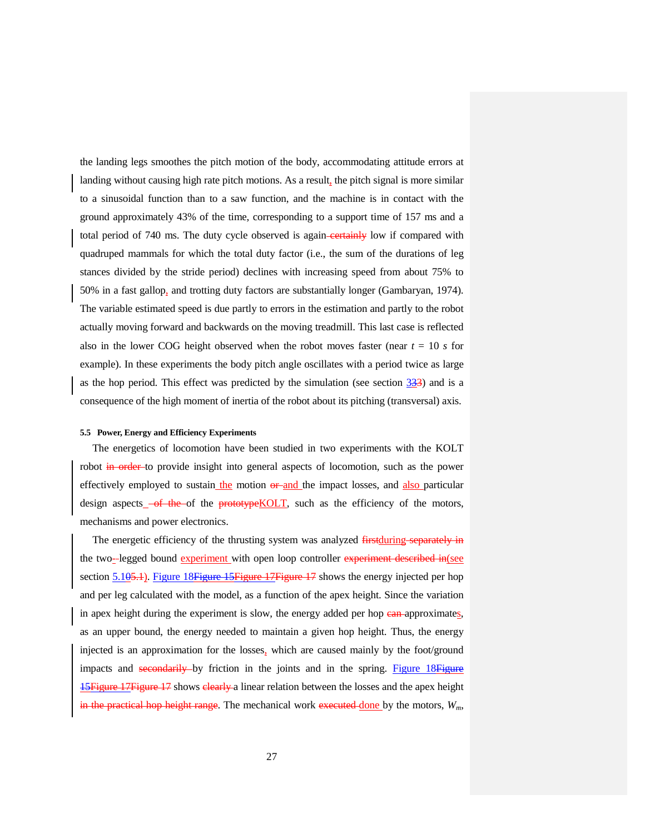the landing legs smoothes the pitch motion of the body, accommodating attitude errors at landing without causing high rate pitch motions. As a result, the pitch signal is more similar to a sinusoidal function than to a saw function, and the machine is in contact with the ground approximately 43% of the time, corresponding to a support time of 157 ms and a total period of 740 ms. The duty cycle observed is again-certainly low if compared with quadruped mammals for which the total duty factor (i.e., the sum of the durations of leg stances divided by the stride period) declines with increasing speed from about 75% to 50% in a fast gallop, and trotting duty factors are substantially longer (Gambaryan, 1974). The variable estimated speed is due partly to errors in the estimation and partly to the robot actually moving forward and backwards on the moving treadmill. This last case is reflected also in the lower COG height observed when the robot moves faster (near  $t = 10 s$  for example). In these experiments the body pitch angle oscillates with a period twice as large as the hop period. This effect was predicted by the simulation (see section  $\frac{333}{33}$ ) and is a consequence of the high moment of inertia of the robot about its pitching (transversal) axis.

### <span id="page-26-0"></span>**5.5 Power, Energy and Efficiency Experiments**

The energetics of locomotion have been studied in two experiments with the KOLT robot in order to provide insight into general aspects of locomotion, such as the power effectively employed to sustain the motion or and the impact losses, and also particular design aspects  $-\theta$  the of the prototype KOLT, such as the efficiency of the motors, mechanisms and power electronics.

The energetic efficiency of the thrusting system was analyzed first during separately in the two-legged bound experiment with open loop controller experiment described in(see section  $5.105.1$ ). Figure 18 Figure 15 Figure 17 Figure 17 shows the energy injected per hop and per leg calculated with the model, as a function of the apex height. Since the variation in apex height during the experiment is slow, the energy added per hop ean-approximates, as an upper bound, the energy needed to maintain a given hop height. Thus, the energy injected is an approximation for the losses, which are caused mainly by the foot/ground impacts and secondarily by friction in the joints and in the spring. Figure 18Figure **[15Figure 17Figure 17](#page-27-0)** shows clearly a linear relation between the losses and the apex height in the practical hop height range. The mechanical work executed done by the motors,  $W_m$ ,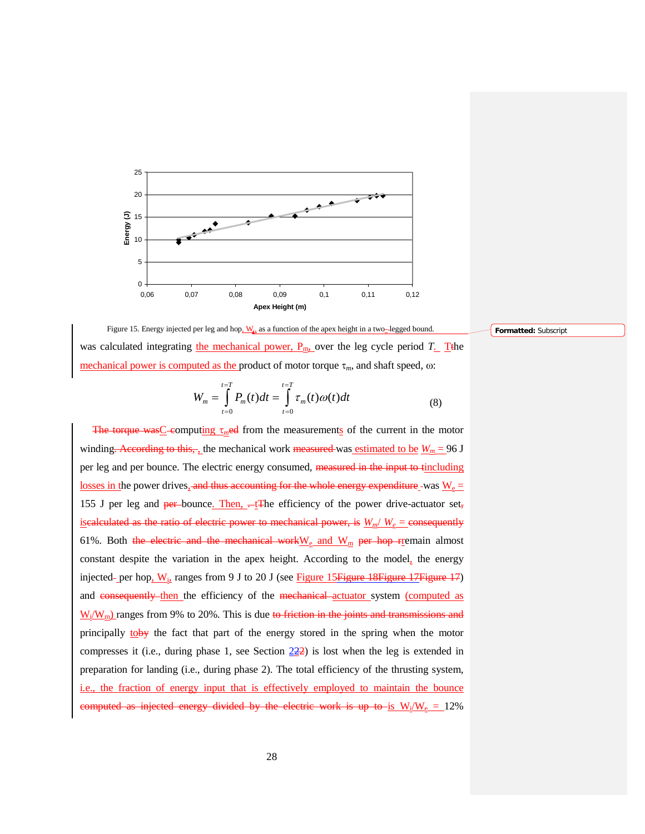

<span id="page-27-0"></span>was calculated integrating the mechanical power,  $P_m$  over the leg cycle period  $T_a$ . The mechanical power is computed as the product of motor torque  $\tau_m$ , and shaft speed,  $\omega$ : Figure 15. Energy injected per leg and hop, W<sub>i</sub>, as a function of the apex height in a two-legged bound. **Formatted:** Subscript

$$
W_m = \int_{t=0}^{t=T} P_m(t)dt = \int_{t=0}^{t=T} \tau_m(t)\omega(t)dt
$$
 (8)

The torque was<sub>C</sub>-computing τ<sub>m</sub>ed from the measurements of the current in the motor winding<del>. According to this, ,</del> the mechanical work measured was estimated to be  $W_m = 96$  J per leg and per bounce. The electric energy consumed, measured in the input to tincluding losses in the power drives, and thus accounting for the whole energy expenditure was  $W_e =$ 155 J per leg and  $per-bounce$ . Then,  $-$  The efficiency of the power drive-actuator set, iscalculated as the ratio of electric power to mechanical power, is  $W_m/W_e = \text{consequently}$ 61%. Both the electric and the mechanical work $W_e$  and  $W_m$  per hop rremain almost constant despite the variation in the apex height. According to the model, the energy injected per hop,  $W_i$ , ranges from 9 J to 20 J (see Figure 15 Figure 18 Figure 17 Figure 17) and consequently then the efficiency of the mechanical actuator system (computed as  $W_i/W_m$ ) ranges from 9% to 20%. This is due to friction in the joints and transmissions and principally toby the fact that part of the energy stored in the spring when the motor compresses it (i.e., during phase 1, see Section  $222$ ) is lost when the leg is extended in preparation for landing (i.e., during phase 2). The total efficiency of the thrusting system, the fraction of energy input that is effectively employed to maintain the bounce computed as injected energy divided by the electric work is up to is  $W_i/W_e = 12\%$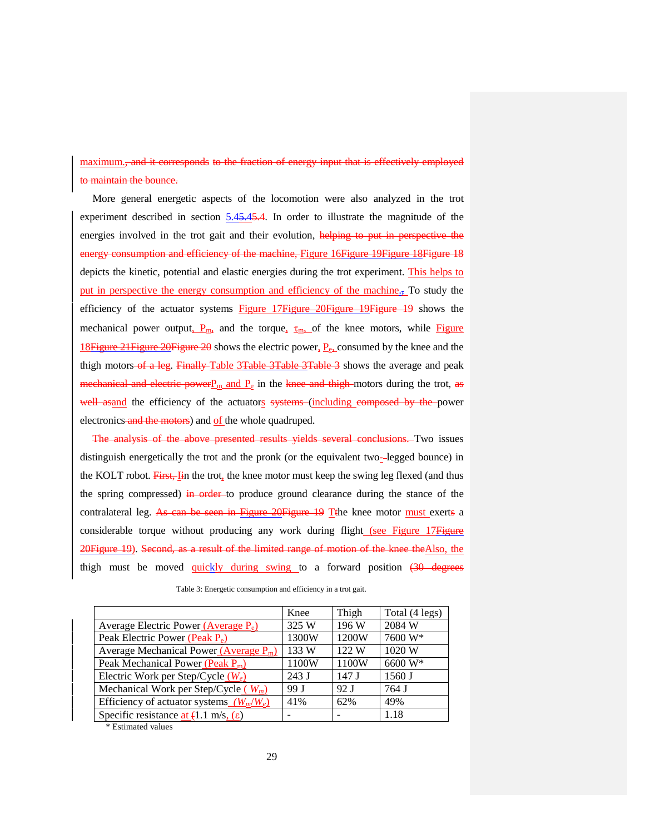maximum., and it corresponds to the fraction of energy input that is effectively employed to maintain the bounce.

More general energetic aspects of the locomotion were also analyzed in the trot experiment described in section [5.45.45.4.](#page-24-0) In order to illustrate the magnitude of the energies involved in the trot gait and their evolution, helping to put in perspective the energy consumption and efficiency of the machine, Figure 16 Figure 19 Figure 18 Figure 18 depicts the kinetic, potential and elastic energies during the trot experiment. This helps to put in perspective the energy consumption and efficiency of the machine. $\tau$ , To study the efficiency of the actuator systems [Figure 17Figure 20Figure 19Figure 19](#page-31-1) shows the mechanical power output,  $P_{m_1}$  and the torque,  $T_{m_1}$  of the knee motors, while Figure 18Figure 21 Figure 20 Figure 20 shows the electric power,  $P_{e_2}$  consumed by the knee and the thigh motors of a leg. Finally [Table 3Table 3Table 3Table 3](#page-28-0) shows the average and peak mechanical and electric power $P_m$  and  $P_e$  in the knee and thigh-motors during the trot, as well asand the efficiency of the actuators systems (including composed by the power electronics and the motors) and of the whole quadruped.

The analysis of the above presented results yields several conclusions. Two issues distinguish energetically the trot and the pronk (or the equivalent two-legged bounce) in the KOLT robot. First, I in the trot, the knee motor must keep the swing leg flexed (and thus the spring compressed) in order to produce ground clearance during the stance of the contralateral leg. As can be seen in [Figure 20Figure 19](#page-31-1) T<sup>the</sup> knee motor must exerts a considerable torque without producing any work during flight (see Figure 17Figure [20Figure 19\)](#page-31-1). Second, as a result of the limited range of motion of the knee theAlso, the thigh must be moved  $quickly$  during swing to a forward position  $(30 - degrees)$ 

<span id="page-28-0"></span>

|                                                        | Knee  | Thigh | Total (4 legs) |
|--------------------------------------------------------|-------|-------|----------------|
| Average Electric Power (Average P <sub>e</sub> )       | 325 W | 196 W | 2084 W         |
| Peak Electric Power (Peak Pe)                          | 1300W | 1200W | 7600 W*        |
| Average Mechanical Power $(Average Pm)$                | 133 W | 122 W | 1020 W         |
| Peak Mechanical Power (Peak $P_m$ )                    | 1100W | 1100W | 6600 W*        |
| Electric Work per Step/Cycle $(W_e)$                   | 243J  | 147J  | $1560$ J       |
| Mechanical Work per Step/Cycle $(W_m)$                 | 99 J  | 92 J  | 764 J          |
| Efficiency of actuator systems $(W_m/W_e)$             | 41%   | 62%   | 49%            |
| Specific resistance <u>at</u> $(1.1 \text{ m/s}, (ε))$ |       |       | 1.18           |
| $4.17 + 1.1$                                           |       |       |                |

Table 3: Energetic consumption and efficiency in a trot gait.

\* Estimated values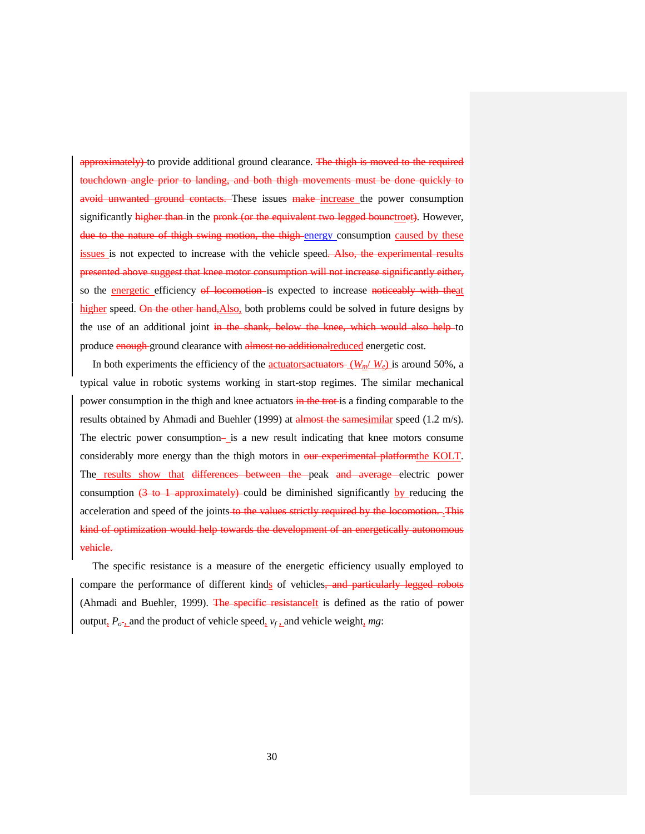approximately) to provide additional ground clearance. The thigh is moved to the required touchdown angle prior to landing, and both thigh movements must be done quickly to avoid unwanted ground contacts. These issues make increase the power consumption significantly higher than in the pronk (or the equivalent two legged bounctroet). However, due to the nature of thigh swing motion, the thigh energy consumption caused by these issues is not expected to increase with the vehicle speed. Also, the experimental results presented above suggest that knee motor consumption will not increase significantly either, so the energetic efficiency of locomotion is expected to increase noticeably with theat higher speed. On the other hand, Also, both problems could be solved in future designs by the use of an additional joint in the shank, below the knee, which would also help to produce **enough** ground clearance with **almost no additional** reduced energetic cost.

In both experiments the efficiency of the **actuators** extendents ( $W_m / W_e$ ) is around 50%, a typical value in robotic systems working in start-stop regimes. The similar mechanical power consumption in the thigh and knee actuators in the trot-is a finding comparable to the results obtained by Ahmadi and Buehler (1999) at almost the same similar speed (1.2 m/s). The electric power consumption– is a new result indicating that knee motors consume considerably more energy than the thigh motors in our experimental platformthe KOLT. The results show that differences between the peak and average electric power consumption  $(3 \text{ to } 1 \text{ approximately})$  could be diminished significantly by reducing the acceleration and speed of the joints to the values strictly required by the locomotion. This kind of optimization would help towards the development of an energetically autonomous vehicle.

The specific resistance is a measure of the energetic efficiency usually employed to compare the performance of different kinds of vehicles, and particularly legged robots (Ahmadi and Buehler, 1999). The specific resistanceIt is defined as the ratio of power output,  $P_{\sigma_2}$  and the product of vehicle speed,  $v_f$ , and vehicle weight, *mg*: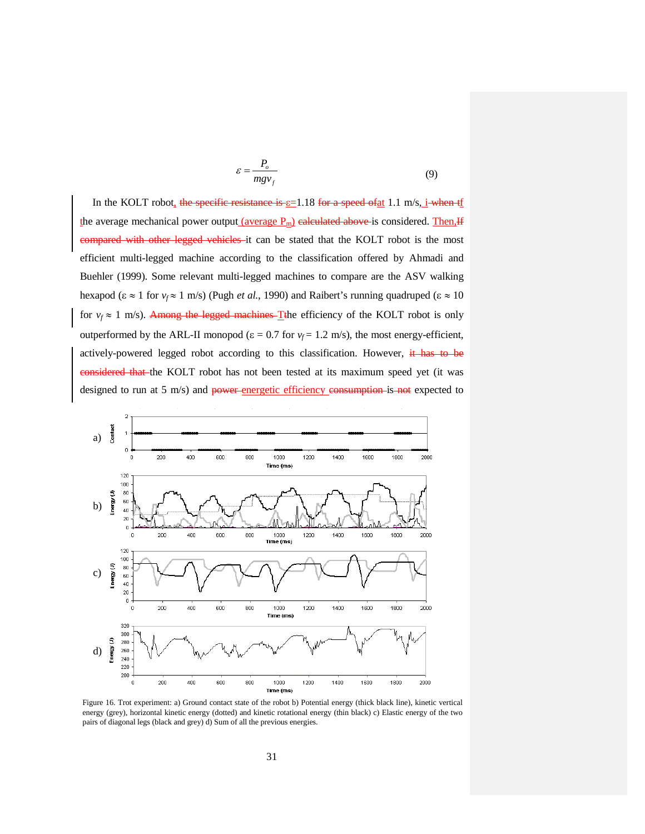$$
\varepsilon = \frac{P_o}{mgv_f} \tag{9}
$$

In the KOLT robot, the specific resistance is  $\varepsilon$ =1.18 for a speed of at 1.1 m/s, *i* when the the average mechanical power output  $(average P_m)$  calculated above is considered. Then, If compared with other legged vehicles it can be stated that the KOLT robot is the most efficient multi-legged machine according to the classification offered by Ahmadi and Buehler (1999). Some relevant multi-legged machines to compare are the ASV walking hexapod ( $\varepsilon \approx 1$  for  $v_f \approx 1$  m/s) (Pugh *et al.*, 1990) and Raibert's running quadruped ( $\varepsilon \approx 10$ for  $v_f \approx 1$  m/s). Among the legged machines T<sub>t</sub> the efficiency of the KOLT robot is only outperformed by the ARL-II monopod (ε = 0.7 for  $v_f$  = 1.2 m/s), the most energy-efficient, actively-powered legged robot according to this classification. However, it has to be considered that the KOLT robot has not been tested at its maximum speed yet (it was designed to run at 5 m/s) and power energetic efficiency consumption is not expected to



<span id="page-30-0"></span>Figure 16. Trot experiment: a) Ground contact state of the robot b) Potential energy (thick black line), kinetic vertical energy (grey), horizontal kinetic energy (dotted) and kinetic rotational energy (thin black) c) Elastic energy of the two pairs of diagonal legs (black and grey) d) Sum of all the previous energies.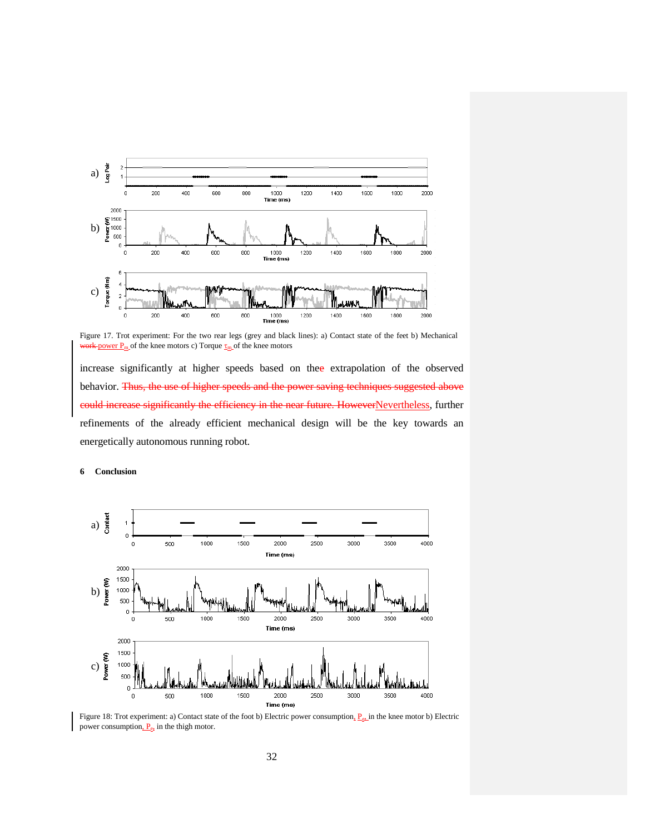<span id="page-31-0"></span>

<span id="page-31-1"></span>Figure 17. Trot experiment: For the two rear legs (grey and black lines): a) Contact state of the feet b) Mechanical work power  $P_m$  of the knee motors c) Torque  $\underline{\tau_m}$  of the knee motors

increase significantly at higher speeds based on thee extrapolation of the observed behavior. Thus, the use of higher speeds and the power saving techniques suggested above could increase significantly the efficiency in the near future. HoweverNevertheless, further refinements of the already efficient mechanical design will be the key towards an energetically autonomous running robot.

#### **6 Conclusion**



<span id="page-31-2"></span>Figure 18: Trot experiment: a) Contact state of the foot b) Electric power consumption,  $P_{ex}$  in the knee motor b) Electric power consumption,  $P_{e_1}$  in the thigh motor.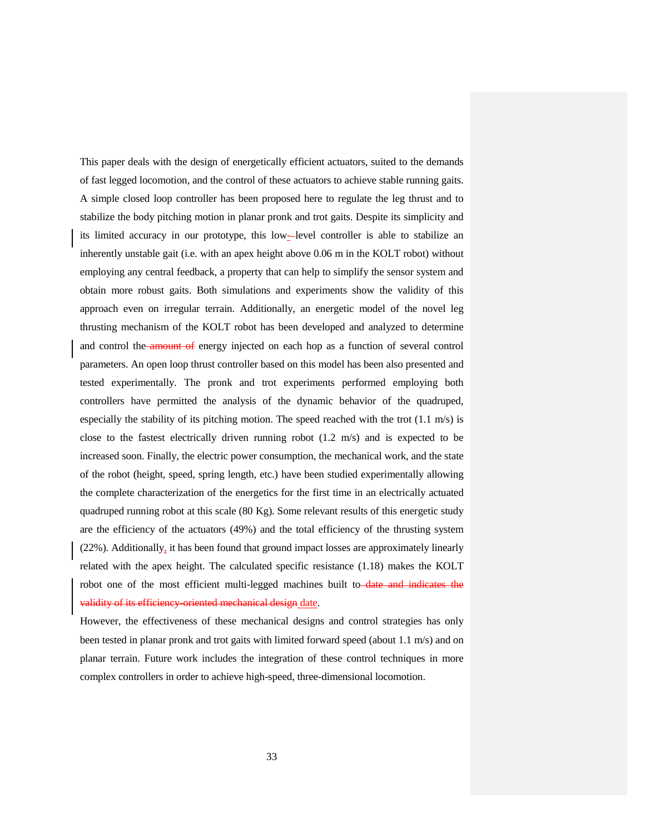This paper deals with the design of energetically efficient actuators, suited to the demands of fast legged locomotion, and the control of these actuators to achieve stable running gaits. A simple closed loop controller has been proposed here to regulate the leg thrust and to stabilize the body pitching motion in planar pronk and trot gaits. Despite its simplicity and its limited accuracy in our prototype, this low- level controller is able to stabilize an inherently unstable gait (i.e. with an apex height above 0.06 m in the KOLT robot) without employing any central feedback, a property that can help to simplify the sensor system and obtain more robust gaits. Both simulations and experiments show the validity of this approach even on irregular terrain. Additionally, an energetic model of the novel leg thrusting mechanism of the KOLT robot has been developed and analyzed to determine and control the amount of energy injected on each hop as a function of several control parameters. An open loop thrust controller based on this model has been also presented and tested experimentally. The pronk and trot experiments performed employing both controllers have permitted the analysis of the dynamic behavior of the quadruped, especially the stability of its pitching motion. The speed reached with the trot  $(1.1 \text{ m/s})$  is close to the fastest electrically driven running robot (1.2 m/s) and is expected to be increased soon. Finally, the electric power consumption, the mechanical work, and the state of the robot (height, speed, spring length, etc.) have been studied experimentally allowing the complete characterization of the energetics for the first time in an electrically actuated quadruped running robot at this scale (80 Kg). Some relevant results of this energetic study are the efficiency of the actuators (49%) and the total efficiency of the thrusting system  $(22%)$ . Additionally, it has been found that ground impact losses are approximately linearly related with the apex height. The calculated specific resistance (1.18) makes the KOLT robot one of the most efficient multi-legged machines built to date and indicates the validity of its efficiency oriented mechanical design date.

However, the effectiveness of these mechanical designs and control strategies has only been tested in planar pronk and trot gaits with limited forward speed (about 1.1 m/s) and on planar terrain. Future work includes the integration of these control techniques in more complex controllers in order to achieve high-speed, three-dimensional locomotion.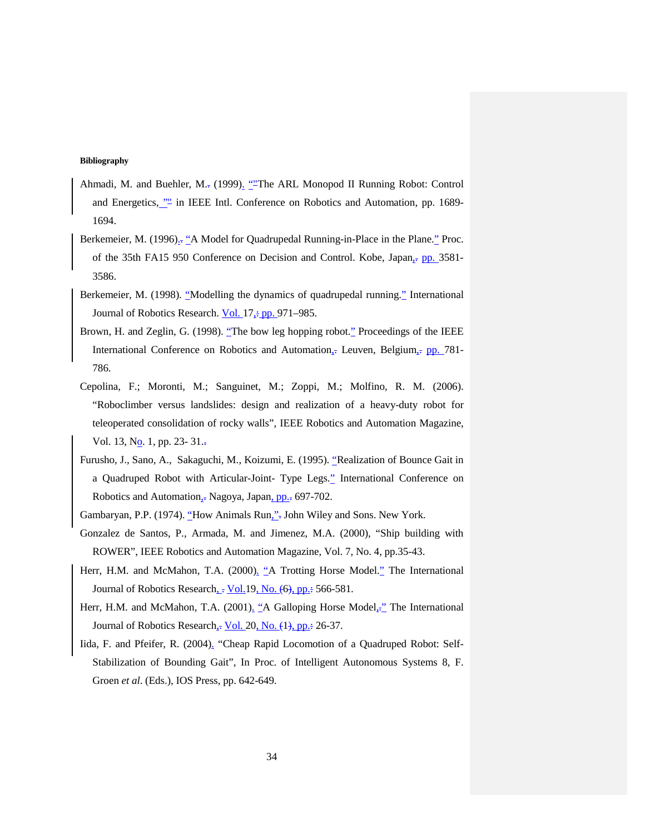## **Bibliography**

- Ahmadi, M. and Buehler, M.<sub>r</sub> (1999). "The ARL Monopod II Running Robot: Control and Energetics, "" in IEEE Intl. Conference on Robotics and Automation, pp. 1689-1694.
- Berkemeier, M.  $(1996)$ <sub>2</sub>, "A Model for Quadrupedal Running-in-Place in the Plane." Proc. of the 35th FA15 950 Conference on Decision and Control. Kobe, Japan,- pp. 3581-3586.
- Berkemeier, M. (1998). "Modelling the dynamics of quadrupedal running." International Journal of Robotics Research. Vol. 17<sub>5</sub>: pp. 971–985.
- [Brown,](http://www.ri.cmu.edu/people/brown_h_benjamin.html) H. and [Zeglin,](http://www.ri.cmu.edu/people/zeglin_garth.html) G. (1998). "The bow leg hopping robot." Proceedings of the IEEE International Conference on Robotics and Automation,. Leuven, Belgium,..., pp. 781– 786.
- Cepolina, F.; Moronti, M.; Sanguinet, M.; Zoppi, M.; Molfino, R. M. (2006). "Roboclimber versus landslides: design and realization of a heavy-duty robot for teleoperated consolidation of rocky walls", IEEE Robotics and Automation Magazine, Vol. 13, No. 1, pp. 23-31..
- Furusho, J., [Sano,](http://www.informatik.uni-trier.de/~ley/db/indices/a-tree/s/Sano:Akihito.html) A., [Sakaguchi,](http://www.informatik.uni-trier.de/~ley/db/indices/a-tree/s/Sakaguchi:Masamuchi.html) M., [Koizumi,](http://www.informatik.uni-trier.de/~ley/db/indices/a-tree/k/Koizumi:Eichi.html) E. (1995). "Realization of Bounce Gait in a Quadruped Robot with Articular-Joint- Type Legs." International Conference on Robotics and Automation,. Nagoya, Japan, pp. 697-702.
- Gambaryan, P.P. (1974). "How Animals Run,". John Wiley and Sons. New York.
- Gonzalez de Santos, P., Armada, M. and Jimenez, M.A. (2000), "Ship building with ROWER", IEEE Robotics and Automation Magazine, Vol. 7, No. 4, pp.35-43.
- Herr, H.M. and McMahon, T.A. (2000). "A Trotting Horse Model." The International Journal of Robotics Research,  $\frac{1}{2}$  Vol.19, No.  $\left(6\right)$ , pp. $\div$  566-581.
- Herr, H.M. and McMahon, T.A. (2001). "A Galloping Horse Model<sub>3</sub>." The International Journal of Robotics Research<sub>1</sub>, Vol. 20, No. (1), pp.: 26-37.
- Iida, F. and Pfeifer, R. (2004). "Cheap Rapid Locomotion of a Quadruped Robot: Self-Stabilization of Bounding Gait", In Proc. of Intelligent Autonomous Systems 8, F. Groen *et al*. (Eds.), IOS Press, pp. 642-649.